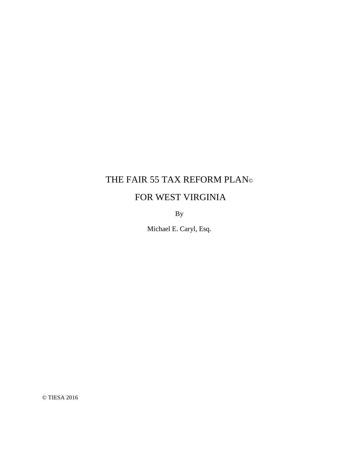# FOR WEST VIRGINIA

By

Michael E. Caryl, Esq.

© TIESA 2016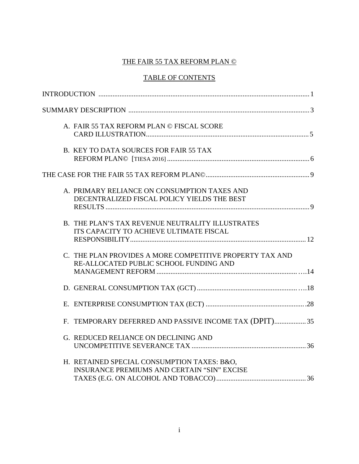## TABLE OF CONTENTS

| A. FAIR 55 TAX REFORM PLAN © FISCAL SCORE                                                          |  |
|----------------------------------------------------------------------------------------------------|--|
| B. KEY TO DATA SOURCES FOR FAIR 55 TAX                                                             |  |
|                                                                                                    |  |
| A. PRIMARY RELIANCE ON CONSUMPTION TAXES AND<br>DECENTRALIZED FISCAL POLICY YIELDS THE BEST        |  |
| B. THE PLAN'S TAX REVENUE NEUTRALITY ILLUSTRATES<br>ITS CAPACITY TO ACHIEVE ULTIMATE FISCAL        |  |
| C. THE PLAN PROVIDES A MORE COMPETITIVE PROPERTY TAX AND<br>RE-ALLOCATED PUBLIC SCHOOL FUNDING AND |  |
|                                                                                                    |  |
|                                                                                                    |  |
| F. TEMPORARY DEFERRED AND PASSIVE INCOME TAX (DPIT)35                                              |  |
| G. REDUCED RELIANCE ON DECLINING AND                                                               |  |
| H. RETAINED SPECIAL CONSUMPTION TAXES: B&O.<br><b>INSURANCE PREMIUMS AND CERTAIN "SIN" EXCISE</b>  |  |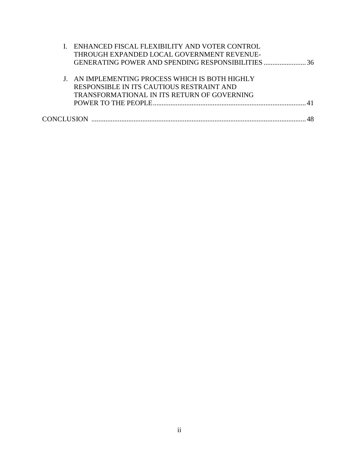|  | I. ENHANCED FISCAL FLEXIBILITY AND VOTER CONTROL |
|--|--------------------------------------------------|
|  | THROUGH EXPANDED LOCAL GOVERNMENT REVENUE-       |
|  |                                                  |
|  |                                                  |
|  | J. AN IMPLEMENTING PROCESS WHICH IS BOTH HIGHLY  |
|  | RESPONSIBLE IN ITS CAUTIOUS RESTRAINT AND        |
|  | TRANSFORMATIONAL IN ITS RETURN OF GOVERNING      |
|  |                                                  |
|  |                                                  |
|  |                                                  |
|  |                                                  |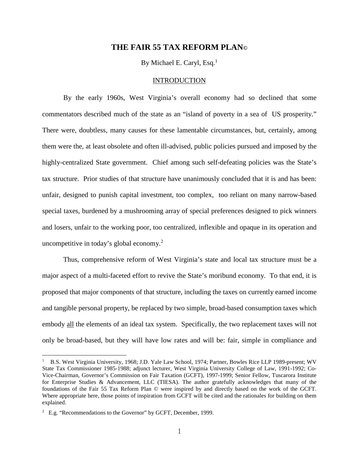By Michael E. Caryl, Esq. $<sup>1</sup>$ </sup>

#### **INTRODUCTION**

By the early 1960s, West Virginia's overall economy had so declined that some commentators described much of the state as an "island of poverty in a sea of US prosperity." There were, doubtless, many causes for these lamentable circumstances, but, certainly, among them were the, at least obsolete and often ill-advised, public policies pursued and imposed by the highly-centralized State government. Chief among such self-defeating policies was the State's tax structure. Prior studies of that structure have unanimously concluded that it is and has been: unfair, designed to punish capital investment, too complex, too reliant on many narrow-based special taxes, burdened by a mushrooming array of special preferences designed to pick winners and losers, unfair to the working poor, too centralized, inflexible and opaque in its operation and uncompetitive in today's global economy.<sup>2</sup>

Thus, comprehensive reform of West Virginia's state and local tax structure must be a major aspect of a multi-faceted effort to revive the State's moribund economy. To that end, it is proposed that major components of that structure, including the taxes on currently earned income and tangible personal property, be replaced by two simple, broad-based consumption taxes which embody all the elements of an ideal tax system. Specifically, the two replacement taxes will not only be broad-based, but they will have low rates and will be: fair, simple in compliance and

<sup>1</sup> B.S. West Virginia University, 1968; J.D. Yale Law School, 1974; Partner, Bowles Rice LLP 1989-present; WV State Tax Commissioner 1985-1988; adjunct lecturer, West Virginia University College of Law, 1991-1992; Co-Vice-Chairman, Governor's Commission on Fair Taxation (GCFT), 1997-1999; Senior Fellow, Tuscarora Institute for Enterprise Studies & Advancement, LLC (TIESA). The author gratefully acknowledges that many of the foundations of the Fair 55 Tax Reform Plan © were inspired by and directly based on the work of the GCFT. Where appropriate here, those points of inspiration from GCFT will be cited and the rationales for building on them explained.

<sup>&</sup>lt;sup>2</sup> E.g. "Recommendations to the Governor" by GCFT, December, 1999.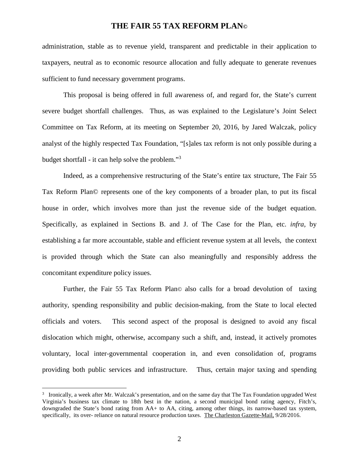administration, stable as to revenue yield, transparent and predictable in their application to taxpayers, neutral as to economic resource allocation and fully adequate to generate revenues sufficient to fund necessary government programs.

This proposal is being offered in full awareness of, and regard for, the State's current severe budget shortfall challenges. Thus, as was explained to the Legislature's Joint Select Committee on Tax Reform, at its meeting on September 20, 2016, by Jared Walczak, policy analyst of the highly respected Tax Foundation, "[s]ales tax reform is not only possible during a budget shortfall - it can help solve the problem."<sup>3</sup>

Indeed, as a comprehensive restructuring of the State's entire tax structure, The Fair 55 Tax Reform Plan© represents one of the key components of a broader plan, to put its fiscal house in order, which involves more than just the revenue side of the budget equation. Specifically, as explained in Sections B. and J. of The Case for the Plan, etc. *infra,* by establishing a far more accountable, stable and efficient revenue system at all levels, the context is provided through which the State can also meaningfully and responsibly address the concomitant expenditure policy issues.

Further, the Fair 55 Tax Reform Plan© also calls for a broad devolution of taxing authority, spending responsibility and public decision-making, from the State to local elected officials and voters. This second aspect of the proposal is designed to avoid any fiscal dislocation which might, otherwise, accompany such a shift, and, instead, it actively promotes voluntary, local inter-governmental cooperation in, and even consolidation of, programs providing both public services and infrastructure. Thus, certain major taxing and spending

<sup>&</sup>lt;sup>3</sup> Ironically, a week after Mr. Walczak's presentation, and on the same day that The Tax Foundation upgraded West Virginia's business tax climate to 18th best in the nation, a second municipal bond rating agency, Fitch's, downgraded the State's bond rating from AA+ to AA, citing, among other things, its narrow-based tax system, specifically, its over- reliance on natural resource production taxes. The Charleston Gazette-Mail, 9/28/2016.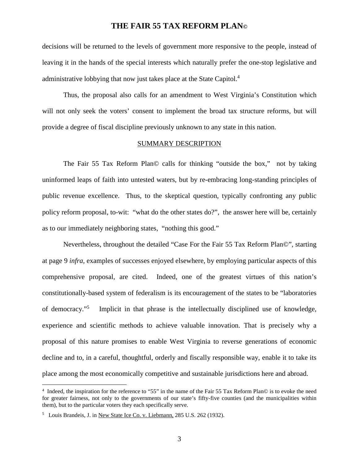decisions will be returned to the levels of government more responsive to the people, instead of leaving it in the hands of the special interests which naturally prefer the one-stop legislative and administrative lobbying that now just takes place at the State Capitol.<sup>4</sup>

Thus, the proposal also calls for an amendment to West Virginia's Constitution which will not only seek the voters' consent to implement the broad tax structure reforms, but will provide a degree of fiscal discipline previously unknown to any state in this nation.

#### SUMMARY DESCRIPTION

The Fair 55 Tax Reform Plan© calls for thinking "outside the box," not by taking uninformed leaps of faith into untested waters, but by re-embracing long-standing principles of public revenue excellence. Thus, to the skeptical question, typically confronting any public policy reform proposal, to-wit: "what do the other states do?", the answer here will be, certainly as to our immediately neighboring states, "nothing this good."

Nevertheless, throughout the detailed "Case For the Fair 55 Tax Reform Plan©", starting at page 9 *infra*, examples of successes enjoyed elsewhere, by employing particular aspects of this comprehensive proposal, are cited. Indeed, one of the greatest virtues of this nation's constitutionally-based system of federalism is its encouragement of the states to be "laboratories of democracy."<sup>5</sup> Implicit in that phrase is the intellectually disciplined use of knowledge, experience and scientific methods to achieve valuable innovation. That is precisely why a proposal of this nature promises to enable West Virginia to reverse generations of economic decline and to, in a careful, thoughtful, orderly and fiscally responsible way, enable it to take its place among the most economically competitive and sustainable jurisdictions here and abroad.

<sup>4</sup> Indeed, the inspiration for the reference to "55" in the name of the Fair 55 Tax Reform Plan© is to evoke the need for greater fairness, not only to the governments of our state's fifty-five counties (and the municipalities within them), but to the particular voters they each specifically serve.

<sup>&</sup>lt;sup>5</sup> Louis Brandeis, J. in <u>New State Ice Co. v. Liebmann,</u> 285 U.S. 262 (1932).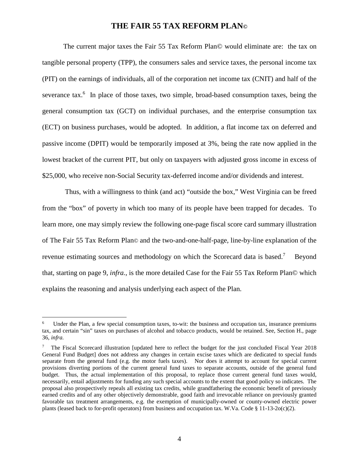The current major taxes the Fair 55 Tax Reform Plan© would eliminate are: the tax on tangible personal property (TPP), the consumers sales and service taxes, the personal income tax (PIT) on the earnings of individuals, all of the corporation net income tax (CNIT) and half of the severance  $tax.^6$  In place of those taxes, two simple, broad-based consumption taxes, being the general consumption tax (GCT) on individual purchases, and the enterprise consumption tax (ECT) on business purchases, would be adopted. In addition, a flat income tax on deferred and passive income (DPIT) would be temporarily imposed at 3%, being the rate now applied in the lowest bracket of the current PIT, but only on taxpayers with adjusted gross income in excess of \$25,000, who receive non-Social Security tax-deferred income and/or dividends and interest.

 Thus, with a willingness to think (and act) "outside the box," West Virginia can be freed from the "box" of poverty in which too many of its people have been trapped for decades. To learn more, one may simply review the following one-page fiscal score card summary illustration of The Fair 55 Tax Reform Plan© and the two-and-one-half-page, line-by-line explanation of the revenue estimating sources and methodology on which the Scorecard data is based.<sup>7</sup> Beyond that, starting on page 9, *infra.*, is the more detailed Case for the Fair 55 Tax Reform Plan© which explains the reasoning and analysis underlying each aspect of the Plan.

<sup>6</sup> Under the Plan, a few special consumption taxes, to-wit: the business and occupation tax, insurance premiums tax, and certain "sin" taxes on purchases of alcohol and tobacco products, would be retained. See, Section H., page 36, *infra.* 

<sup>7</sup> The Fiscal Scorecard illustration [updated here to reflect the budget for the just concluded Fiscal Year 2018 General Fund Budget] does not address any changes in certain excise taxes which are dedicated to special funds separate from the general fund (e.g. the motor fuels taxes). Nor does it attempt to account for special current provisions diverting portions of the current general fund taxes to separate accounts, outside of the general fund budget. Thus, the actual implementation of this proposal, to replace those current general fund taxes would, necessarily, entail adjustments for funding any such special accounts to the extent that good policy so indicates. The proposal also prospectively repeals all existing tax credits, while grandfathering the economic benefit of previously earned credits and of any other objectively demonstrable, good faith and irrevocable reliance on previously granted favorable tax treatment arrangements, e.g. the exemption of municipally-owned or county-owned electric power plants (leased back to for-profit operators) from business and occupation tax. W.Va. Code § 11-13-2o(c)(2).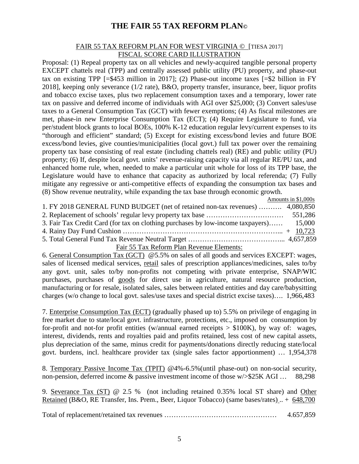#### FAIR 55 TAX REFORM PLAN FOR WEST VIRGINIA © [TIESA 2017] FISCAL SCORE CARD ILLUSTRATION

Proposal: (1) Repeal property tax on all vehicles and newly-acquired tangible personal property EXCEPT chattels real (TPP) and centrally assessed public utility (PU) property, and phase-out tax on existing TPP  $[-\$453$  million in 2017]; (2) Phase-out income taxes  $[=\$2$  billion in FY 2018], keeping only severance (1/2 rate), B&O, property transfer, insurance, beer, liquor profits and tobacco excise taxes, plus two replacement consumption taxes and a temporary, lower rate tax on passive and deferred income of individuals with AGI over \$25,000; (3) Convert sales/use taxes to a General Consumption Tax (GCT) with fewer exemptions; (4) As fiscal milestones are met, phase-in new Enterprise Consumption Tax (ECT); (4) Require Legislature to fund, via per/student block grants to local BOEs, 100% K-12 education regular levy/current expenses to its "thorough and efficient" standard; (5) Except for existing excess/bond levies and future BOE excess/bond levies, give counties/municipalities (local govt.) full tax power over the remaining property tax base consisting of real estate (including chattels real) (RE) and public utility (PU) property; (6) If, despite local govt. units' revenue-raising capacity via all regular RE/PU tax, and enhanced home rule, when, needed to make a particular unit whole for loss of its TPP base, the Legislature would have to enhance that capacity as authorized by local referenda; (7) Fully mitigate any regressive or anti-competitive effects of expanding the consumption tax bases and (8) Show revenue neutrality, while expanding the tax base through economic growth.

|                                                                                        | Amounts in \$1,000s |
|----------------------------------------------------------------------------------------|---------------------|
| 1. FY 2018 GENERAL FUND BUDGET (net of retained non-tax revenues)  4,080,850           |                     |
|                                                                                        |                     |
| 3. Fair Tax Credit Card (for tax on clothing purchases by low-income taxpayers) 15,000 |                     |
|                                                                                        |                     |
|                                                                                        |                     |

Fair 55 Tax Reform Plan Revenue Elements:

6. General Consumption Tax (GCT) @5.5% on sales of all goods and services EXCEPT: wages, sales of licensed medical services, retail sales of prescription appliances/medicines, sales to/by any govt. unit, sales to/by non-profits not competing with private enterprise, SNAP/WIC purchases, purchases of goods for direct use in agriculture, natural resource production, manufacturing or for resale, isolated sales, sales between related entities and day care/babysitting charges (w/o change to local govt. sales/use taxes and special district excise taxes)…. 1,966,483

7. Enterprise Consumption Tax (ECT) (gradually phased up to) 5.5% on privilege of engaging in free market due to state/local govt. infrastructure, protections, etc., imposed on consumption by for-profit and not-for profit entities (w/annual earned receipts  $> $100K$ ), by way of: wages, interest, dividends, rents and royalties paid and profits retained, less cost of new capital assets, plus depreciation of the same, minus credit for payments/donations directly reducing state/local govt. burdens, incl. healthcare provider tax (single sales factor apportionment) … 1,954,378

8. Temporary Passive Income Tax (TPIT) @4%-6.5%(until phase-out) on non-social security, non-pension, deferred income & passive investment income of those w/>\$25K AGI ... 88,298

9. Severance Tax (ST) @ 2.5 % (not including retained 0.35% local ST share) and Other Retained (B&O, RE Transfer, Ins. Prem., Beer, Liquor Tobacco) (same bases/rates) .. + 648,700

Total of replacement/retained tax revenues ………………………………………… 4.657,859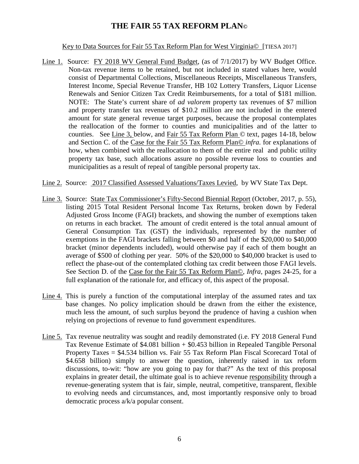Key to Data Sources for Fair 55 Tax Reform Plan for West Virginia© [TIESA 2017]

- Line 1. Source: FY 2018 WV General Fund Budget, (as of 7/1/2017) by WV Budget Office. Non-tax revenue items to be retained, but not included in stated values here, would consist of Departmental Collections, Miscellaneous Receipts, Miscellaneous Transfers, Interest Income, Special Revenue Transfer, HB 102 Lottery Transfers, Liquor License Renewals and Senior Citizen Tax Credit Reimbursements, for a total of \$181 million. NOTE: The State's current share of *ad valorem* property tax revenues of \$7 million and property transfer tax revenues of \$10.2 million are not included in the entered amount for state general revenue target purposes, because the proposal contemplates the reallocation of the former to counties and municipalities and of the latter to counties. See Line 3, below, and Fair 55 Tax Reform Plan © text, pages 14-18, below and Section C. of the Case for the Fair 55 Tax Reform Plan© *infra.* for explanations of how, when combined with the reallocation to them of the entire real and public utility property tax base, such allocations assure no possible revenue loss to counties and municipalities as a result of repeal of tangible personal property tax.
- Line 2. Source: 2017 Classified Assessed Valuations/Taxes Levied, by WV State Tax Dept.
- Line 3. Source: State Tax Commissioner's Fifty-Second Biennial Report (October, 2017, p. 55), listing 2015 Total Resident Personal Income Tax Returns, broken down by Federal Adjusted Gross Income (FAGI) brackets, and showing the number of exemptions taken on returns in each bracket. The amount of credit entered is the total annual amount of General Consumption Tax (GST) the individuals, represented by the number of exemptions in the FAGI brackets falling between \$0 and half of the \$20,000 to \$40,000 bracket (minor dependents included), would otherwise pay if each of them bought an average of \$500 of clothing per year. 50% of the \$20,000 to \$40,000 bracket is used to reflect the phase-out of the contemplated clothing tax credit between those FAGI levels. See Section D. of the Case for the Fair 55 Tax Reform Plan©, *Infra,* pages 24-25, for a full explanation of the rationale for, and efficacy of, this aspect of the proposal.
- Line 4. This is purely a function of the computational interplay of the assumed rates and tax base changes. No policy implication should be drawn from the either the existence, much less the amount, of such surplus beyond the prudence of having a cushion when relying on projections of revenue to fund government expenditures.
- Line 5. Tax revenue neutrality was sought and readily demonstrated (i.e. FY 2018 General Fund Tax Revenue Estimate of \$4.081 billion + \$0.453 billion in Repealed Tangible Personal Property Taxes = \$4.534 billion vs. Fair 55 Tax Reform Plan Fiscal Scorecard Total of \$4.658 billion) simply to answer the question, inherently raised in tax reform discussions, to-wit: "how are you going to pay for that?" As the text of this proposal explains in greater detail, the ultimate goal is to achieve revenue responsibility through a revenue-generating system that is fair, simple, neutral, competitive, transparent, flexible to evolving needs and circumstances, and, most importantly responsive only to broad democratic process a/k/a popular consent.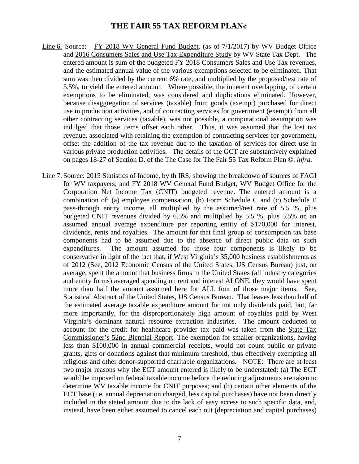- Line 6. Source: FY 2018 WV General Fund Budget, (as of 7/1/2017) by WV Budget Office and 2016 Consumers Sales and Use Tax Expenditure Study by WV State Tax Dept. The entered amount is sum of the budgeted FY 2018 Consumers Sales and Use Tax revenues, and the estimated annual value of the various exemptions selected to be eliminated. That sum was then divided by the current 6% rate, and multiplied by the proposed/test rate of 5.5%, to yield the entered amount. Where possible, the inherent overlapping, of certain exemptions to be eliminated, was considered and duplications eliminated. However, because disaggregation of services (taxable) from goods (exempt) purchased for direct use in production activities, and of contracting services for government (exempt) from all other contracting services (taxable), was not possible, a computational assumption was indulged that those items offset each other. Thus, it was assumed that the lost tax revenue, associated with retaining the exemption of contracting services for government, offset the addition of the tax revenue due to the taxation of services for direct use in various private production activities. The details of the GCT are substantively explained on pages 18-27 of Section D. of the The Case for The Fair 55 Tax Reform Plan ©, *infra.*
- Line 7. Source: 2015 Statistics of Income, by th IRS, showing the breakdown of sources of FAGI for WV taxpayers; and FY 2018 WV General Fund Budget, WV Budget Office for the Corporation Net Income Tax (CNIT) budgeted revenue. The entered amount is a combination of: (a) employee compensation, (b) Form Schedule C and (c) Schedule E pass-through entity income, all multiplied by the assumed/test rate of 5.5 %, plus budgeted CNIT revenues divided by 6.5% and multiplied by 5.5 %, plus 5.5% on an assumed annual average expenditure per reporting entity of \$170,000 for interest, dividends, rents and royalties. The amount for that final group of consumption tax base components had to be assumed due to the absence of direct public data on such expenditures. The amount assumed for those four components is likely to be conservative in light of the fact that, if West Virginia's 35,000 business establishments as of 2012 (See, 2012 Economic Census of the United States, US Census Bureau) just, on average, spent the amount that business firms in the United States (all industry categories and entity forms) averaged spending on rent and interest ALONE, they would have spent more than half the amount assumed here for ALL four of those major items. See, Statistical Abstract of the United States, US Census Bureau. That leaves less than half of the estimated average taxable expenditure amount for not only dividends paid, but, far more importantly, for the disproportionately high amount of royalties paid by West Virginia's dominant natural resource extraction industries. The amount deducted to account for the credit for healthcare provider tax paid was taken from the State Tax Commissioner's 52nd Biennial Report. The exemption for smaller organizations, having less than \$100,000 in annual commercial receipts, would not count public or private grants, gifts or donations against that minimum threshold, thus effectively exempting all religious and other donor-supported charitable organizations. NOTE: There are at least two major reasons why the ECT amount entered is likely to be understated: (a) The ECT would be imposed on federal taxable income before the reducing adjustments are taken to determine WV taxable income for CNIT purposes; and (b) certain other elements of the ECT base (i.e. annual depreciation charged, less capital purchases) have not been directly included in the stated amount due to the lack of easy access to such specific data, and, instead, have been either assumed to cancel each out (depreciation and capital purchases)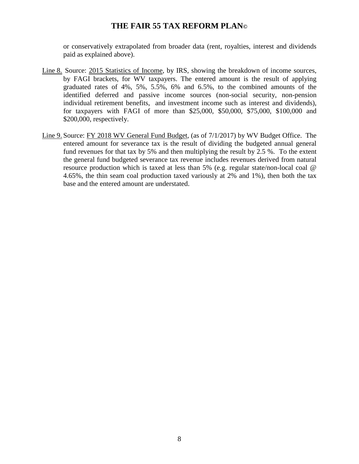or conservatively extrapolated from broader data (rent, royalties, interest and dividends paid as explained above).

- Line 8. Source: 2015 Statistics of Income, by IRS, showing the breakdown of income sources, by FAGI brackets, for WV taxpayers. The entered amount is the result of applying graduated rates of 4%, 5%, 5.5%, 6% and 6.5%, to the combined amounts of the identified deferred and passive income sources (non-social security, non-pension individual retirement benefits, and investment income such as interest and dividends), for taxpayers with FAGI of more than \$25,000, \$50,000, \$75,000, \$100,000 and \$200,000, respectively.
- Line 9. Source: FY 2018 WV General Fund Budget, (as of 7/1/2017) by WV Budget Office. The entered amount for severance tax is the result of dividing the budgeted annual general fund revenues for that tax by 5% and then multiplying the result by 2.5 %. To the extent the general fund budgeted severance tax revenue includes revenues derived from natural resource production which is taxed at less than 5% (e.g. regular state/non-local coal @ 4.65%, the thin seam coal production taxed variously at 2% and 1%), then both the tax base and the entered amount are understated.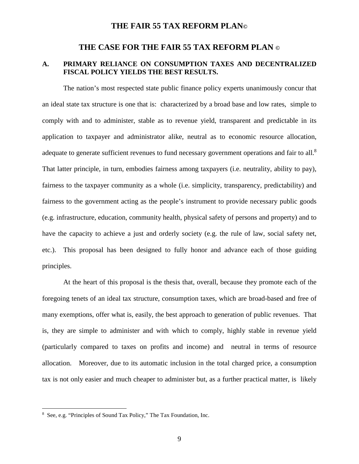### **THE CASE FOR THE FAIR 55 TAX REFORM PLAN ©**

#### **A. PRIMARY RELIANCE ON CONSUMPTION TAXES AND DECENTRALIZED FISCAL POLICY YIELDS THE BEST RESULTS.**

The nation's most respected state public finance policy experts unanimously concur that an ideal state tax structure is one that is: characterized by a broad base and low rates, simple to comply with and to administer, stable as to revenue yield, transparent and predictable in its application to taxpayer and administrator alike, neutral as to economic resource allocation, adequate to generate sufficient revenues to fund necessary government operations and fair to all.<sup>8</sup> That latter principle, in turn, embodies fairness among taxpayers (i.e. neutrality, ability to pay), fairness to the taxpayer community as a whole (i.e. simplicity, transparency, predictability) and fairness to the government acting as the people's instrument to provide necessary public goods (e.g. infrastructure, education, community health, physical safety of persons and property) and to have the capacity to achieve a just and orderly society (e.g. the rule of law, social safety net, etc.). This proposal has been designed to fully honor and advance each of those guiding principles.

At the heart of this proposal is the thesis that, overall, because they promote each of the foregoing tenets of an ideal tax structure, consumption taxes, which are broad-based and free of many exemptions, offer what is, easily, the best approach to generation of public revenues. That is, they are simple to administer and with which to comply, highly stable in revenue yield (particularly compared to taxes on profits and income) and neutral in terms of resource allocation. Moreover, due to its automatic inclusion in the total charged price, a consumption tax is not only easier and much cheaper to administer but, as a further practical matter, is likely

<sup>8</sup> See, e.g. "Principles of Sound Tax Policy," The Tax Foundation, Inc.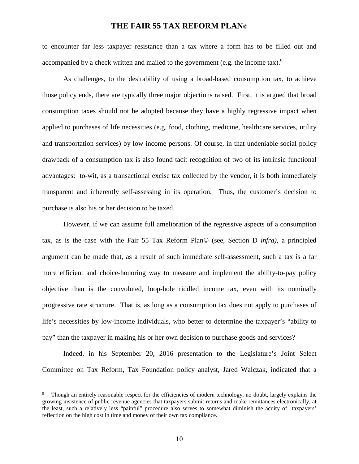to encounter far less taxpayer resistance than a tax where a form has to be filled out and accompanied by a check written and mailed to the government (e.g. the income tax).<sup>9</sup>

As challenges, to the desirability of using a broad-based consumption tax, to achieve those policy ends, there are typically three major objections raised. First, it is argued that broad consumption taxes should not be adopted because they have a highly regressive impact when applied to purchases of life necessities (e.g. food, clothing, medicine, healthcare services, utility and transportation services) by low income persons. Of course, in that undeniable social policy drawback of a consumption tax is also found tacit recognition of two of its intrinsic functional advantages: to-wit, as a transactional excise tax collected by the vendor, it is both immediately transparent and inherently self-assessing in its operation. Thus, the customer's decision to purchase is also his or her decision to be taxed.

However, if we can assume full amelioration of the regressive aspects of a consumption tax, as is the case with the Fair 55 Tax Reform Plan© (see, Section D *infra)*, a principled argument can be made that, as a result of such immediate self-assessment, such a tax is a far more efficient and choice-honoring way to measure and implement the ability-to-pay policy objective than is the convoluted, loop-hole riddled income tax, even with its nominally progressive rate structure. That is, as long as a consumption tax does not apply to purchases of life's necessities by low-income individuals, who better to determine the taxpayer's "ability to pay" than the taxpayer in making his or her own decision to purchase goods and services?

Indeed, in his September 20, 2016 presentation to the Legislature's Joint Select Committee on Tax Reform, Tax Foundation policy analyst, Jared Walczak, indicated that a

<sup>9</sup> Though an entirely reasonable respect for the efficiencies of modern technology, no doubt, largely explains the growing insistence of public revenue agencies that taxpayers submit returns and make remittances electronically, at the least, such a relatively less "painful" procedure also serves to somewhat diminish the acuity of taxpayers' reflection on the high cost in time and money of their own tax compliance.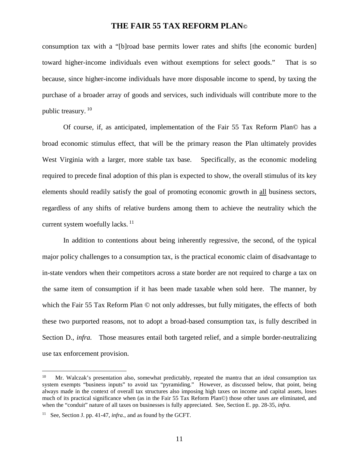consumption tax with a "[b]road base permits lower rates and shifts [the economic burden] toward higher-income individuals even without exemptions for select goods." That is so because, since higher-income individuals have more disposable income to spend, by taxing the purchase of a broader array of goods and services, such individuals will contribute more to the public treasury.<sup>10</sup>

Of course, if, as anticipated, implementation of the Fair 55 Tax Reform Plan© has a broad economic stimulus effect, that will be the primary reason the Plan ultimately provides West Virginia with a larger, more stable tax base. Specifically, as the economic modeling required to precede final adoption of this plan is expected to show, the overall stimulus of its key elements should readily satisfy the goal of promoting economic growth in all business sectors, regardless of any shifts of relative burdens among them to achieve the neutrality which the current system woefully lacks.  $^{11}$ 

In addition to contentions about being inherently regressive, the second, of the typical major policy challenges to a consumption tax, is the practical economic claim of disadvantage to in-state vendors when their competitors across a state border are not required to charge a tax on the same item of consumption if it has been made taxable when sold here. The manner, by which the Fair 55 Tax Reform Plan  $\odot$  not only addresses, but fully mitigates, the effects of both these two purported reasons, not to adopt a broad-based consumption tax, is fully described in Section D., *infra.* Those measures entail both targeted relief, and a simple border-neutralizing use tax enforcement provision.

<sup>&</sup>lt;sup>10</sup> Mr. Walczak's presentation also, somewhat predictably, repeated the mantra that an ideal consumption tax system exempts "business inputs" to avoid tax "pyramiding." However, as discussed below, that point, being always made in the context of overall tax structures also imposing high taxes on income and capital assets, loses much of its practical significance when (as in the Fair 55 Tax Reform Plan©) those other taxes are eliminated, and when the "conduit" nature of all taxes on businesses is fully appreciated. See, Section E. pp. 28-35, *infra.* 

<sup>&</sup>lt;sup>11</sup> See, Section J. pp. 41-47, *infra*., and as found by the GCFT.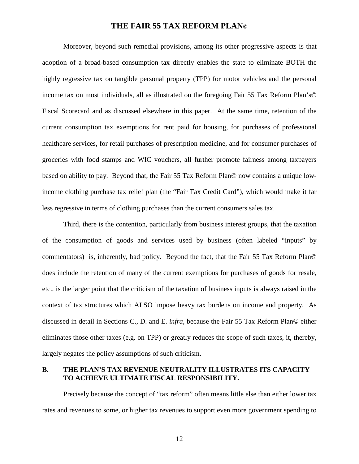Moreover, beyond such remedial provisions, among its other progressive aspects is that adoption of a broad-based consumption tax directly enables the state to eliminate BOTH the highly regressive tax on tangible personal property (TPP) for motor vehicles and the personal income tax on most individuals, all as illustrated on the foregoing Fair 55 Tax Reform Plan's© Fiscal Scorecard and as discussed elsewhere in this paper. At the same time, retention of the current consumption tax exemptions for rent paid for housing, for purchases of professional healthcare services, for retail purchases of prescription medicine, and for consumer purchases of groceries with food stamps and WIC vouchers, all further promote fairness among taxpayers based on ability to pay. Beyond that, the Fair 55 Tax Reform Plan© now contains a unique lowincome clothing purchase tax relief plan (the "Fair Tax Credit Card"), which would make it far less regressive in terms of clothing purchases than the current consumers sales tax.

Third, there is the contention, particularly from business interest groups, that the taxation of the consumption of goods and services used by business (often labeled "inputs" by commentators) is, inherently, bad policy. Beyond the fact, that the Fair 55 Tax Reform Plan© does include the retention of many of the current exemptions for purchases of goods for resale, etc., is the larger point that the criticism of the taxation of business inputs is always raised in the context of tax structures which ALSO impose heavy tax burdens on income and property. As discussed in detail in Sections C., D. and E. *infra*, because the Fair 55 Tax Reform Plan© either eliminates those other taxes (e.g. on TPP) or greatly reduces the scope of such taxes, it, thereby, largely negates the policy assumptions of such criticism.

#### **B. THE PLAN'S TAX REVENUE NEUTRALITY ILLUSTRATES ITS CAPACITY TO ACHIEVE ULTIMATE FISCAL RESPONSIBILITY.**

Precisely because the concept of "tax reform" often means little else than either lower tax rates and revenues to some, or higher tax revenues to support even more government spending to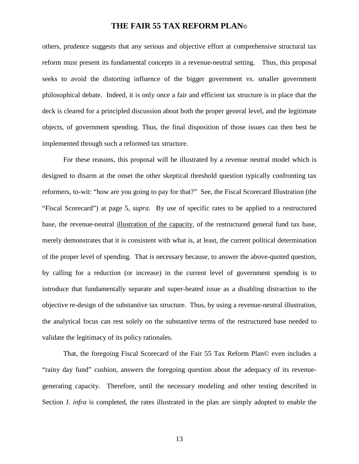others, prudence suggests that any serious and objective effort at comprehensive structural tax reform must present its fundamental concepts in a revenue-neutral setting. Thus, this proposal seeks to avoid the distorting influence of the bigger government vs. smaller government philosophical debate. Indeed, it is only once a fair and efficient tax structure is in place that the deck is cleared for a principled discussion about both the proper general level, and the legitimate objects, of government spending. Thus, the final disposition of those issues can then best be implemented through such a reformed tax structure.

For these reasons, this proposal will be illustrated by a revenue neutral model which is designed to disarm at the onset the other skeptical threshold question typically confronting tax reformers, to-wit: "how are you going to pay for that?" See, the Fiscal Scorecard Illustration (the "Fiscal Scorecard") at page 5, *supra.* By use of specific rates to be applied to a restructured base, the revenue-neutral illustration of the capacity, of the restructured general fund tax base, merely demonstrates that it is consistent with what is, at least, the current political determination of the proper level of spending. That is necessary because, to answer the above-quoted question, by calling for a reduction (or increase) in the current level of government spending is to introduce that fundamentally separate and super-heated issue as a disabling distraction to the objective re-design of the substantive tax structure. Thus, by using a revenue-neutral illustration, the analytical focus can rest solely on the substantive terms of the restructured base needed to validate the legitimacy of its policy rationales.

That, the foregoing Fiscal Scorecard of the Fair 55 Tax Reform Plan© even includes a "rainy day fund" cushion, answers the foregoing question about the adequacy of its revenuegenerating capacity. Therefore, until the necessary modeling and other testing described in Section J. *infra* is completed, the rates illustrated in the plan are simply adopted to enable the

13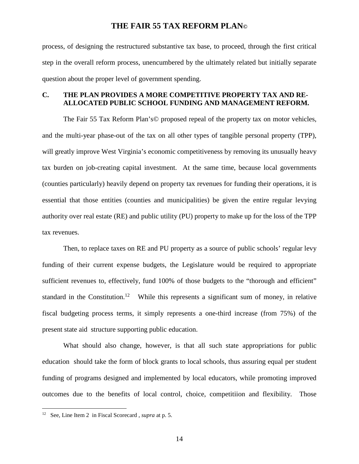process, of designing the restructured substantive tax base, to proceed, through the first critical step in the overall reform process, unencumbered by the ultimately related but initially separate question about the proper level of government spending.

## **C. THE PLAN PROVIDES A MORE COMPETITIVE PROPERTY TAX AND RE-ALLOCATED PUBLIC SCHOOL FUNDING AND MANAGEMENT REFORM.**

The Fair 55 Tax Reform Plan's© proposed repeal of the property tax on motor vehicles, and the multi-year phase-out of the tax on all other types of tangible personal property (TPP), will greatly improve West Virginia's economic competitiveness by removing its unusually heavy tax burden on job-creating capital investment. At the same time, because local governments (counties particularly) heavily depend on property tax revenues for funding their operations, it is essential that those entities (counties and municipalities) be given the entire regular levying authority over real estate (RE) and public utility (PU) property to make up for the loss of the TPP tax revenues.

Then, to replace taxes on RE and PU property as a source of public schools' regular levy funding of their current expense budgets, the Legislature would be required to appropriate sufficient revenues to, effectively, fund 100% of those budgets to the "thorough and efficient" standard in the Constitution.<sup>12</sup> While this represents a significant sum of money, in relative fiscal budgeting process terms, it simply represents a one-third increase (from 75%) of the present state aid structure supporting public education.

What should also change, however, is that all such state appropriations for public education should take the form of block grants to local schools, thus assuring equal per student funding of programs designed and implemented by local educators, while promoting improved outcomes due to the benefits of local control, choice, competitiion and flexibility. Those

<sup>12</sup> See, Line Item 2 in Fiscal Scorecard , *supra* at p. 5.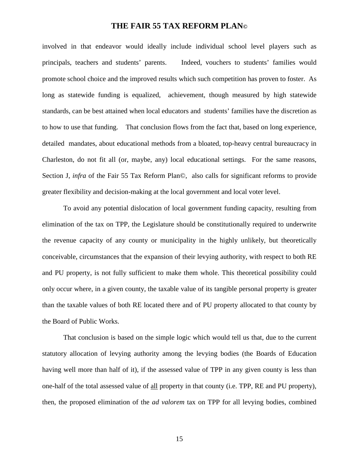involved in that endeavor would ideally include individual school level players such as principals, teachers and students' parents. Indeed, vouchers to students' families would promote school choice and the improved results which such competition has proven to foster. As long as statewide funding is equalized, achievement, though measured by high statewide standards, can be best attained when local educators and students' families have the discretion as to how to use that funding. That conclusion flows from the fact that, based on long experience, detailed mandates, about educational methods from a bloated, top-heavy central bureaucracy in Charleston, do not fit all (or, maybe, any) local educational settings. For the same reasons, Section J, *infra* of the Fair 55 Tax Reform Plan©, also calls for significant reforms to provide greater flexibility and decision-making at the local government and local voter level.

To avoid any potential dislocation of local government funding capacity, resulting from elimination of the tax on TPP, the Legislature should be constitutionally required to underwrite the revenue capacity of any county or municipality in the highly unlikely, but theoretically conceivable, circumstances that the expansion of their levying authority, with respect to both RE and PU property, is not fully sufficient to make them whole. This theoretical possibility could only occur where, in a given county, the taxable value of its tangible personal property is greater than the taxable values of both RE located there and of PU property allocated to that county by the Board of Public Works.

That conclusion is based on the simple logic which would tell us that, due to the current statutory allocation of levying authority among the levying bodies (the Boards of Education having well more than half of it), if the assessed value of TPP in any given county is less than one-half of the total assessed value of all property in that county (i.e. TPP, RE and PU property), then, the proposed elimination of the *ad valorem* tax on TPP for all levying bodies, combined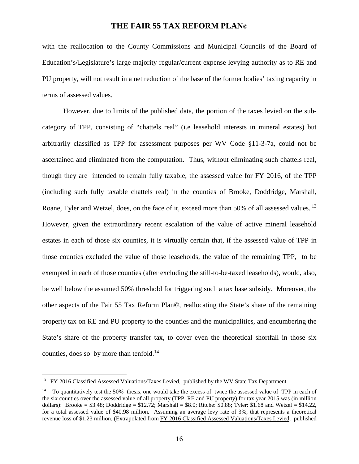with the reallocation to the County Commissions and Municipal Councils of the Board of Education's/Legislature's large majority regular/current expense levying authority as to RE and PU property, will not result in a net reduction of the base of the former bodies' taxing capacity in terms of assessed values.

However, due to limits of the published data, the portion of the taxes levied on the subcategory of TPP, consisting of "chattels real" (i.e leasehold interests in mineral estates) but arbitrarily classified as TPP for assessment purposes per WV Code §11-3-7a, could not be ascertained and eliminated from the computation. Thus, without eliminating such chattels real, though they are intended to remain fully taxable, the assessed value for FY 2016, of the TPP (including such fully taxable chattels real) in the counties of Brooke, Doddridge, Marshall, Roane, Tyler and Wetzel, does, on the face of it, exceed more than 50% of all assessed values.<sup>13</sup> However, given the extraordinary recent escalation of the value of active mineral leasehold estates in each of those six counties, it is virtually certain that, if the assessed value of TPP in those counties excluded the value of those leaseholds, the value of the remaining TPP, to be exempted in each of those counties (after excluding the still-to-be-taxed leaseholds), would, also, be well below the assumed 50% threshold for triggering such a tax base subsidy. Moreover, the other aspects of the Fair 55 Tax Reform Plan©, reallocating the State's share of the remaining property tax on RE and PU property to the counties and the municipalities, and encumbering the State's share of the property transfer tax, to cover even the theoretical shortfall in those six counties, does so by more than tenfold.<sup>14</sup>

<sup>&</sup>lt;sup>13</sup> FY 2016 Classified Assessed Valuations/Taxes Levied, published by the WV State Tax Department.

<sup>&</sup>lt;sup>14</sup> To quantitatively test the 50% thesis, one would take the excess of twice the assessed value of TPP in each of the six counties over the assessed value of all property (TPP, RE and PU property) for tax year 2015 was (in million dollars): Brooke =  $$3.48$ ; Doddridge =  $$12.72$ ; Marshall =  $$8.0$ ; Ritche:  $$0.88$ ; Tyler:  $$1.68$  and Wetzel =  $$14.22$ , for a total assessed value of \$40.98 million. Assuming an average levy rate of 3%, that represents a theoretical revenue loss of \$1.23 million. (Extrapolated from FY 2016 Classified Assessed Valuations/Taxes Levied, published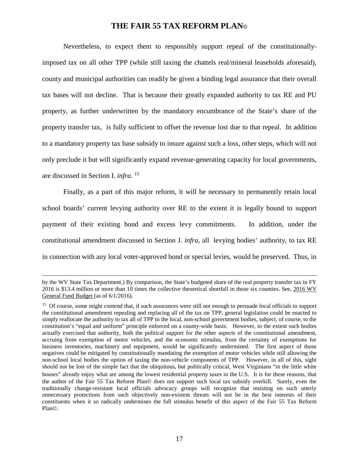Nevertheless, to expect them to responsibly support repeal of the constitutionallyimposed tax on all other TPP (while still taxing the chattels real/mineral leaseholds aforesaid), county and municipal authorities can readily be given a binding legal assurance that their overall tax bases will not decline. That is because their greatly expanded authority to tax RE and PU property, as further underwritten by the mandatory encumbrance of the State's share of the property transfer tax, is fully sufficient to offset the revenue lost due to that repeal. In addition to a mandatory property tax base subsidy to insure against such a loss, other steps, which will not only preclude it but will significantly expand revenue-generating capacity for local governments, are discussed in Section I. *infra*. 15

Finally, as a part of this major reform, it will be necessary to permanently retain local school boards' current levying authority over RE to the extent it is legally bound to support payment of their existing bond and excess levy commitments. In addition, under the constitutional amendment discussed in Section J. *infra*, all levying bodies' authority, to tax RE in connection with any local voter-approved bond or special levies, would be preserved. Thus, in

by the WV State Tax Department.) By comparison, the State's budgeted share of the real property transfer tax in FY 2016 is \$13.4 million or more than 10 times the collective theoretical shortfall in those six counties. See, 2016 WV General Fund Budget (as of 6/1/2016).

<sup>&</sup>lt;sup>15</sup> Of course, some might contend that, if such assurances were still not enough to persuade local officials to support the constitutional amendment repealing and replacing all of the tax on TPP, general legislation could be enacted to simply reallocate the authority to tax all of TPP to the local, non-school government bodies, subject, of course, to the constitution's "equal and uniform" principle enforced on a county-wide basis. However, to the extent such bodies actually exercised that authority, both the political support for the other aspects of the constitutional amendment, accruing from exemption of motor vehicles, and the economic stimulus, from the certainty of exemptions for business inventories, machinery and equipment, would be significantly undermined. The first aspect of those negatives could be mitigated by constitutionally mandating the exemption of motor vehicles while still allowing the non-school local bodies the option of taxing the non-vehicle components of TPP. However, in all of this, sight should not be lost of the simple fact that the ubiquitous, but politically critical, West Virginians "in the little white houses" already enjoy what are among the lowest residential property taxes in the U.S. It is for these reasons, that the author of the Fair 55 Tax Reform Plan© does not support such local tax subsidy overkill. Surely, even the traditionally change-resistant local officials advocacy groups will recognize that insisting on such utterly unnecessary protections from such objectively non-existent threats will not be in the best interests of their constituents when it so radically undermines the full stimulus benefit of this aspect of the Fair 55 Tax Reform Plan©.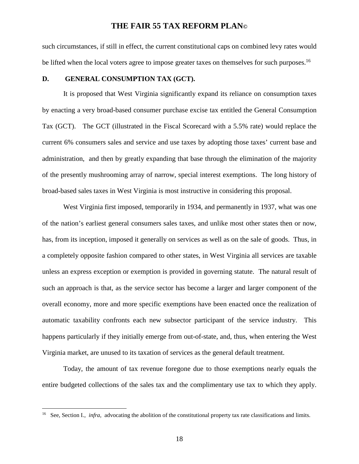such circumstances, if still in effect, the current constitutional caps on combined levy rates would be lifted when the local voters agree to impose greater taxes on themselves for such purposes.<sup>16</sup>

#### **D. GENERAL CONSUMPTION TAX (GCT).**

It is proposed that West Virginia significantly expand its reliance on consumption taxes by enacting a very broad-based consumer purchase excise tax entitled the General Consumption Tax (GCT). The GCT (illustrated in the Fiscal Scorecard with a 5.5% rate) would replace the current 6% consumers sales and service and use taxes by adopting those taxes' current base and administration, and then by greatly expanding that base through the elimination of the majority of the presently mushrooming array of narrow, special interest exemptions. The long history of broad-based sales taxes in West Virginia is most instructive in considering this proposal.

West Virginia first imposed, temporarily in 1934, and permanently in 1937, what was one of the nation's earliest general consumers sales taxes, and unlike most other states then or now, has, from its inception, imposed it generally on services as well as on the sale of goods. Thus, in a completely opposite fashion compared to other states, in West Virginia all services are taxable unless an express exception or exemption is provided in governing statute. The natural result of such an approach is that, as the service sector has become a larger and larger component of the overall economy, more and more specific exemptions have been enacted once the realization of automatic taxability confronts each new subsector participant of the service industry. This happens particularly if they initially emerge from out-of-state, and, thus, when entering the West Virginia market, are unused to its taxation of services as the general default treatment.

Today, the amount of tax revenue foregone due to those exemptions nearly equals the entire budgeted collections of the sales tax and the complimentary use tax to which they apply.

<sup>&</sup>lt;sup>16</sup> See, Section I., *infra*, advocating the abolition of the constitutional property tax rate classifications and limits.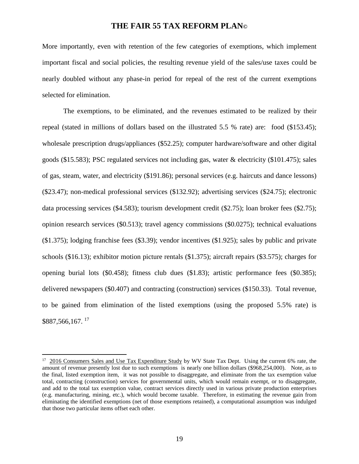More importantly, even with retention of the few categories of exemptions, which implement important fiscal and social policies, the resulting revenue yield of the sales/use taxes could be nearly doubled without any phase-in period for repeal of the rest of the current exemptions selected for elimination.

The exemptions, to be eliminated, and the revenues estimated to be realized by their repeal (stated in millions of dollars based on the illustrated 5.5 % rate) are: food (\$153.45); wholesale prescription drugs/appliances (\$52.25); computer hardware/software and other digital goods (\$15.583); PSC regulated services not including gas, water & electricity (\$101.475); sales of gas, steam, water, and electricity (\$191.86); personal services (e.g. haircuts and dance lessons) (\$23.47); non-medical professional services (\$132.92); advertising services (\$24.75); electronic data processing services (\$4.583); tourism development credit (\$2.75); loan broker fees (\$2.75); opinion research services (\$0.513); travel agency commissions (\$0.0275); technical evaluations (\$1.375); lodging franchise fees (\$3.39); vendor incentives (\$1.925); sales by public and private schools (\$16.13); exhibitor motion picture rentals (\$1.375); aircraft repairs (\$3.575); charges for opening burial lots (\$0.458); fitness club dues (\$1.83); artistic performance fees (\$0.385); delivered newspapers (\$0.407) and contracting (construction) services (\$150.33). Total revenue, to be gained from elimination of the listed exemptions (using the proposed 5.5% rate) is \$887,566,167. <sup>17</sup>

<sup>&</sup>lt;sup>17</sup> 2016 Consumers Sales and Use Tax Expenditure Study by WV State Tax Dept. Using the current 6% rate, the amount of revenue presently lost due to such exemptions is nearly one billion dollars (\$968,254,000). Note, as to the final, listed exemption item, it was not possible to disaggregate, and eliminate from the tax exemption value total, contracting (construction) services for governmental units, which would remain exempt, or to disaggregate, and add to the total tax exemption value, contract services directly used in various private production enterprises (e.g. manufacturing, mining, etc.), which would become taxable. Therefore, in estimating the revenue gain from eliminating the identified exemptions (net of those exemptions retained), a computational assumption was indulged that those two particular items offset each other.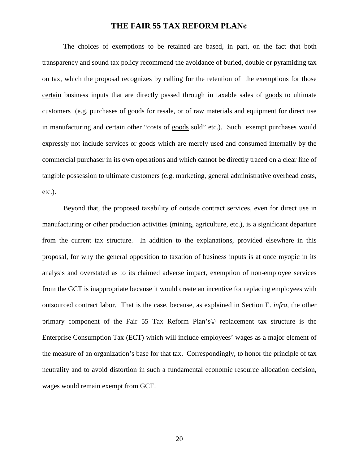The choices of exemptions to be retained are based, in part, on the fact that both transparency and sound tax policy recommend the avoidance of buried, double or pyramiding tax on tax, which the proposal recognizes by calling for the retention of the exemptions for those certain business inputs that are directly passed through in taxable sales of goods to ultimate customers (e.g. purchases of goods for resale, or of raw materials and equipment for direct use in manufacturing and certain other "costs of goods sold" etc.). Such exempt purchases would expressly not include services or goods which are merely used and consumed internally by the commercial purchaser in its own operations and which cannot be directly traced on a clear line of tangible possession to ultimate customers (e.g. marketing, general administrative overhead costs, etc.).

Beyond that, the proposed taxability of outside contract services, even for direct use in manufacturing or other production activities (mining, agriculture, etc.), is a significant departure from the current tax structure. In addition to the explanations, provided elsewhere in this proposal, for why the general opposition to taxation of business inputs is at once myopic in its analysis and overstated as to its claimed adverse impact, exemption of non-employee services from the GCT is inappropriate because it would create an incentive for replacing employees with outsourced contract labor. That is the case, because, as explained in Section E. *infra,* the other primary component of the Fair 55 Tax Reform Plan's© replacement tax structure is the Enterprise Consumption Tax (ECT) which will include employees' wages as a major element of the measure of an organization's base for that tax. Correspondingly, to honor the principle of tax neutrality and to avoid distortion in such a fundamental economic resource allocation decision, wages would remain exempt from GCT.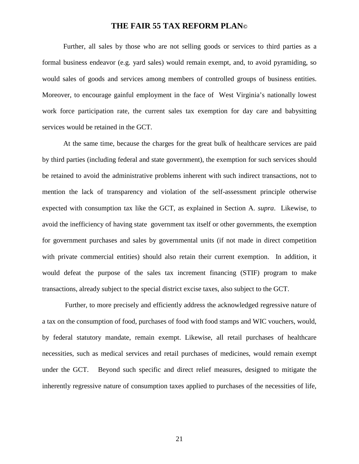Further, all sales by those who are not selling goods or services to third parties as a formal business endeavor (e.g. yard sales) would remain exempt, and, to avoid pyramiding, so would sales of goods and services among members of controlled groups of business entities. Moreover, to encourage gainful employment in the face of West Virginia's nationally lowest work force participation rate, the current sales tax exemption for day care and babysitting services would be retained in the GCT.

At the same time, because the charges for the great bulk of healthcare services are paid by third parties (including federal and state government), the exemption for such services should be retained to avoid the administrative problems inherent with such indirect transactions, not to mention the lack of transparency and violation of the self-assessment principle otherwise expected with consumption tax like the GCT, as explained in Section A. *supra*. Likewise, to avoid the inefficiency of having state government tax itself or other governments, the exemption for government purchases and sales by governmental units (if not made in direct competition with private commercial entities) should also retain their current exemption. In addition, it would defeat the purpose of the sales tax increment financing (STIF) program to make transactions, already subject to the special district excise taxes, also subject to the GCT.

Further, to more precisely and efficiently address the acknowledged regressive nature of a tax on the consumption of food, purchases of food with food stamps and WIC vouchers, would, by federal statutory mandate, remain exempt. Likewise, all retail purchases of healthcare necessities, such as medical services and retail purchases of medicines, would remain exempt under the GCT. Beyond such specific and direct relief measures, designed to mitigate the inherently regressive nature of consumption taxes applied to purchases of the necessities of life,

21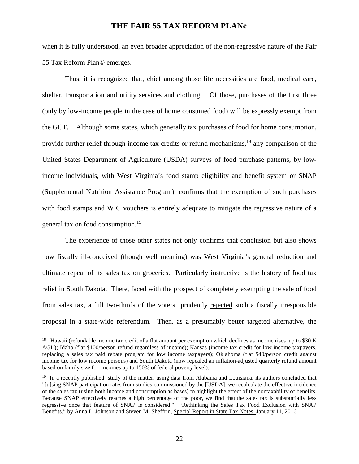when it is fully understood, an even broader appreciation of the non-regressive nature of the Fair 55 Tax Reform Plan© emerges.

Thus, it is recognized that, chief among those life necessities are food, medical care, shelter, transportation and utility services and clothing. Of those, purchases of the first three (only by low-income people in the case of home consumed food) will be expressly exempt from the GCT. Although some states, which generally tax purchases of food for home consumption, provide further relief through income tax credits or refund mechanisms,<sup>18</sup> any comparison of the United States Department of Agriculture (USDA) surveys of food purchase patterns, by lowincome individuals, with West Virginia's food stamp eligibility and benefit system or SNAP (Supplemental Nutrition Assistance Program), confirms that the exemption of such purchases with food stamps and WIC vouchers is entirely adequate to mitigate the regressive nature of a general tax on food consumption.<sup>19</sup>

The experience of those other states not only confirms that conclusion but also shows how fiscally ill-conceived (though well meaning) was West Virginia's general reduction and ultimate repeal of its sales tax on groceries. Particularly instructive is the history of food tax relief in South Dakota. There, faced with the prospect of completely exempting the sale of food from sales tax, a full two-thirds of the voters prudently rejected such a fiscally irresponsible proposal in a state-wide referendum. Then, as a presumably better targeted alternative, the

<sup>&</sup>lt;sup>18</sup> Hawaii (refundable income tax credit of a flat amount per exemption which declines as income rises up to \$30 K AGI); Idaho (flat \$100/person refund regardless of income); Kansas (income tax credit for low income taxpayers, replacing a sales tax paid rebate program for low income taxpayers); Oklahoma (flat \$40/person credit against income tax for low income persons) and South Dakota (now repealed an inflation-adjusted quarterly refund amount based on family size for incomes up to 150% of federal poverty level).

 $19$  In a recently published study of the matter, using data from Alabama and Louisiana, its authors concluded that "[u]sing SNAP participation rates from studies commissioned by the [USDA], we recalculate the effective incidence of the sales tax (using both income and consumption as bases) to highlight the effect of the nontaxability of benefits. Because SNAP effectively reaches a high percentage of the poor, we find that the sales tax is substantially less regressive once that feature of SNAP is considered." "Rethinking the Sales Tax Food Exclusion with SNAP Benefits." by Anna L. Johnson and Steven M. Sheffrin, Special Report in State Tax Notes, January 11, 2016.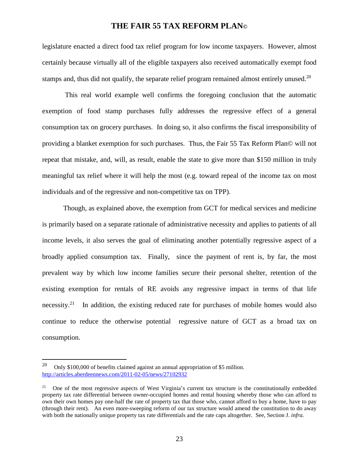legislature enacted a direct food tax relief program for low income taxpayers. However, almost certainly because virtually all of the eligible taxpayers also received automatically exempt food stamps and, thus did not qualify, the separate relief program remained almost entirely unused.<sup>20</sup>

This real world example well confirms the foregoing conclusion that the automatic exemption of food stamp purchases fully addresses the regressive effect of a general consumption tax on grocery purchases. In doing so, it also confirms the fiscal irresponsibility of providing a blanket exemption for such purchases. Thus, the Fair 55 Tax Reform Plan© will not repeat that mistake, and, will, as result, enable the state to give more than \$150 million in truly meaningful tax relief where it will help the most (e.g. toward repeal of the income tax on most individuals and of the regressive and non-competitive tax on TPP).

Though, as explained above, the exemption from GCT for medical services and medicine is primarily based on a separate rationale of administrative necessity and applies to patients of all income levels, it also serves the goal of eliminating another potentially regressive aspect of a broadly applied consumption tax. Finally, since the payment of rent is, by far, the most prevalent way by which low income families secure their personal shelter, retention of the existing exemption for rentals of RE avoids any regressive impact in terms of that life necessity.<sup>21</sup> In addition, the existing reduced rate for purchases of mobile homes would also continue to reduce the otherwise potential regressive nature of GCT as a broad tax on consumption.

<sup>&</sup>lt;sup>20</sup> Only \$100,000 of benefits claimed against an annual appropriation of \$5 million. http://articles.aberdeennews.com/2011-02-05/news/27102932

<sup>&</sup>lt;sup>21</sup> One of the most regressive aspects of West Virginia's current tax structure is the constitutionally embedded property tax rate differential between owner-occupied homes and rental housing whereby those who can afford to own their own homes pay one-half the rate of property tax that those who, cannot afford to buy a home, have to pay (through their rent). An even more-sweeping reform of our tax structure would amend the constitution to do away with both the nationally unique property tax rate differentials and the rate caps altogether. See, Section J. *infra.*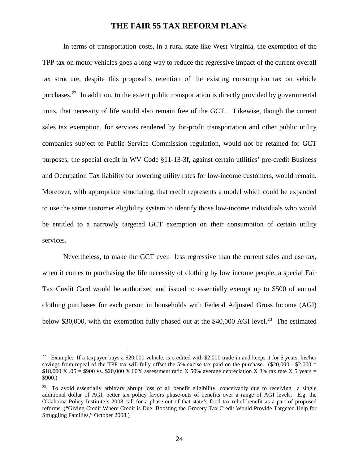In terms of transportation costs, in a rural state like West Virginia, the exemption of the TPP tax on motor vehicles goes a long way to reduce the regressive impact of the current overall tax structure, despite this proposal's retention of the existing consumption tax on vehicle purchases.<sup>22</sup> In addition, to the extent public transportation is directly provided by governmental units, that necessity of life would also remain free of the GCT. Likewise, though the current sales tax exemption, for services rendered by for-profit transportation and other public utility companies subject to Public Service Commission regulation, would not be retained for GCT purposes, the special credit in WV Code §11-13-3f, against certain utilities' pre-credit Business and Occupation Tax liability for lowering utility rates for low-income customers, would remain. Moreover, with appropriate structuring, that credit represents a model which could be expanded to use the same customer eligibility system to identify those low-income individuals who would be entitled to a narrowly targeted GCT exemption on their consumption of certain utility services.

Nevertheless, to make the GCT even less regressive than the current sales and use tax, when it comes to purchasing the life necessity of clothing by low income people, a special Fair Tax Credit Card would be authorized and issued to essentially exempt up to \$500 of annual clothing purchases for each person in households with Federal Adjusted Gross Income (AGI) below \$30,000, with the exemption fully phased out at the \$40,000 AGI level.<sup>23</sup> The estimated

<sup>&</sup>lt;sup>22</sup> Example: If a taxpayer buys a \$20,000 vehicle, is credited with \$2,000 trade-in and keeps it for 5 years, his/her savings from repeal of the TPP tax will fully offset the 5% excise tax paid on the purchase. (\$20,000 - \$2,000 = \$18,000 X  $.05 =$  \$900 vs. \$20,000 X 60% assessment ratio X 50% average depreciation X 3% tax rate X 5 years = \$900.)

<sup>&</sup>lt;sup>23</sup> To avoid essentially arbitrary abrupt loss of all benefit eligibility, conceivably due to receiving a single additional dollar of AGI, better tax policy favors phase-outs of benefits over a range of AGI levels. E.g. the Oklahoma Policy Institute's 2008 call for a phase-out of that state's food tax relief benefit as a part of proposed reforms. ("Giving Credit Where Credit is Due: Boosting the Grocery Tax Credit Would Provide Targeted Help for Struggling Families," October 2008.)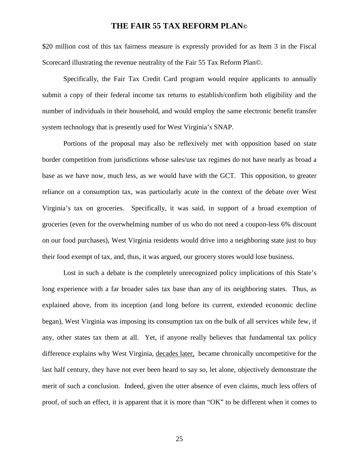\$20 million cost of this tax fairness measure is expressly provided for as Item 3 in the Fiscal Scorecard illustrating the revenue neutrality of the Fair 55 Tax Reform Plan©.

Specifically, the Fair Tax Credit Card program would require applicants to annually submit a copy of their federal income tax returns to establish/confirm both eligibility and the number of individuals in their household, and would employ the same electronic benefit transfer system technology that is presently used for West Virginia's SNAP.

Portions of the proposal may also be reflexively met with opposition based on state border competition from jurisdictions whose sales/use tax regimes do not have nearly as broad a base as we have now, much less, as we would have with the GCT. This opposition, to greater reliance on a consumption tax, was particularly acute in the context of the debate over West Virginia's tax on groceries. Specifically, it was said, in support of a broad exemption of groceries (even for the overwhelming number of us who do not need a coupon-less 6% discount on our food purchases), West Virginia residents would drive into a neighboring state just to buy their food exempt of tax, and, thus, it was argued, our grocery stores would lose business.

Lost in such a debate is the completely unrecognized policy implications of this State's long experience with a far broader sales tax base than any of its neighboring states. Thus, as explained above, from its inception (and long before its current, extended economic decline began), West Virginia was imposing its consumption tax on the bulk of all services while few, if any, other states tax them at all. Yet, if anyone really believes that fundamental tax policy difference explains why West Virginia, decades later, became chronically uncompetitive for the last half century, they have not ever been heard to say so, let alone, objectively demonstrate the merit of such a conclusion. Indeed, given the utter absence of even claims, much less offers of proof, of such an effect, it is apparent that it is more than "OK" to be different when it comes to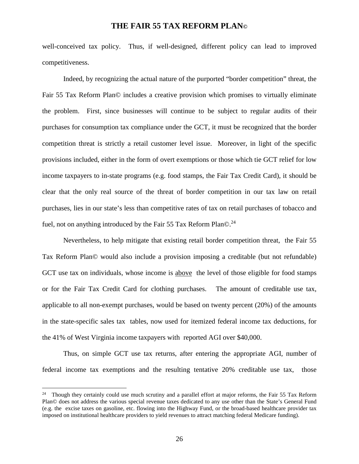well-conceived tax policy. Thus, if well-designed, different policy can lead to improved competitiveness.

Indeed, by recognizing the actual nature of the purported "border competition" threat, the Fair 55 Tax Reform Plan© includes a creative provision which promises to virtually eliminate the problem. First, since businesses will continue to be subject to regular audits of their purchases for consumption tax compliance under the GCT, it must be recognized that the border competition threat is strictly a retail customer level issue. Moreover, in light of the specific provisions included, either in the form of overt exemptions or those which tie GCT relief for low income taxpayers to in-state programs (e.g. food stamps, the Fair Tax Credit Card), it should be clear that the only real source of the threat of border competition in our tax law on retail purchases, lies in our state's less than competitive rates of tax on retail purchases of tobacco and fuel, not on anything introduced by the Fair 55 Tax Reform Plan $\odot$ <sup>24</sup>

Nevertheless, to help mitigate that existing retail border competition threat, the Fair 55 Tax Reform Plan© would also include a provision imposing a creditable (but not refundable) GCT use tax on individuals, whose income is above the level of those eligible for food stamps or for the Fair Tax Credit Card for clothing purchases. The amount of creditable use tax, applicable to all non-exempt purchases, would be based on twenty percent (20%) of the amounts in the state-specific sales tax tables, now used for itemized federal income tax deductions, for the 41% of West Virginia income taxpayers with reported AGI over \$40,000.

Thus, on simple GCT use tax returns, after entering the appropriate AGI, number of federal income tax exemptions and the resulting tentative 20% creditable use tax, those

<sup>&</sup>lt;sup>24</sup> Though they certainly could use much scrutiny and a parallel effort at major reforms, the Fair 55 Tax Reform Plan© does not address the various special revenue taxes dedicated to any use other than the State's General Fund (e.g. the excise taxes on gasoline, etc. flowing into the Highway Fund, or the broad-based healthcare provider tax imposed on institutional healthcare providers to yield revenues to attract matching federal Medicare funding).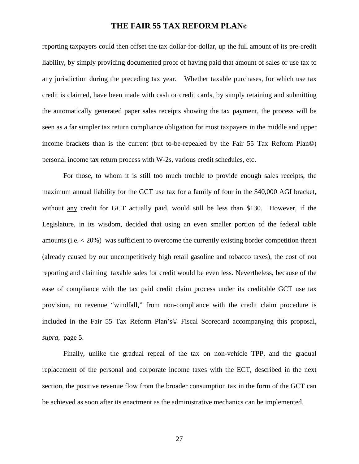reporting taxpayers could then offset the tax dollar-for-dollar, up the full amount of its pre-credit liability, by simply providing documented proof of having paid that amount of sales or use tax to any jurisdiction during the preceding tax year. Whether taxable purchases, for which use tax credit is claimed, have been made with cash or credit cards, by simply retaining and submitting the automatically generated paper sales receipts showing the tax payment, the process will be seen as a far simpler tax return compliance obligation for most taxpayers in the middle and upper income brackets than is the current (but to-be-repealed by the Fair 55 Tax Reform Plan©) personal income tax return process with W-2s, various credit schedules, etc.

For those, to whom it is still too much trouble to provide enough sales receipts, the maximum annual liability for the GCT use tax for a family of four in the \$40,000 AGI bracket, without any credit for GCT actually paid, would still be less than \$130. However, if the Legislature, in its wisdom, decided that using an even smaller portion of the federal table amounts (i.e. < 20%) was sufficient to overcome the currently existing border competition threat (already caused by our uncompetitively high retail gasoline and tobacco taxes), the cost of not reporting and claiming taxable sales for credit would be even less. Nevertheless, because of the ease of compliance with the tax paid credit claim process under its creditable GCT use tax provision, no revenue "windfall," from non-compliance with the credit claim procedure is included in the Fair 55 Tax Reform Plan's© Fiscal Scorecard accompanying this proposal, *supra,* page 5.

Finally, unlike the gradual repeal of the tax on non-vehicle TPP, and the gradual replacement of the personal and corporate income taxes with the ECT, described in the next section, the positive revenue flow from the broader consumption tax in the form of the GCT can be achieved as soon after its enactment as the administrative mechanics can be implemented.

27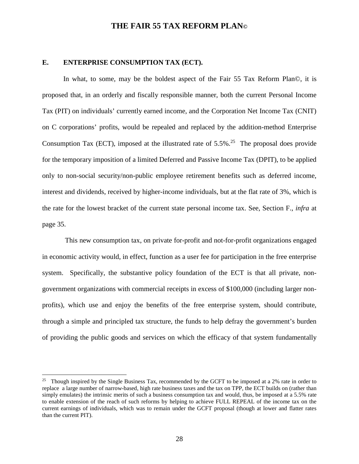#### **E. ENTERPRISE CONSUMPTION TAX (ECT).**

In what, to some, may be the boldest aspect of the Fair 55 Tax Reform Plan©, it is proposed that, in an orderly and fiscally responsible manner, both the current Personal Income Tax (PIT) on individuals' currently earned income, and the Corporation Net Income Tax (CNIT) on C corporations' profits, would be repealed and replaced by the addition-method Enterprise Consumption Tax (ECT), imposed at the illustrated rate of  $5.5\%$ .<sup>25</sup> The proposal does provide for the temporary imposition of a limited Deferred and Passive Income Tax (DPIT), to be applied only to non-social security/non-public employee retirement benefits such as deferred income, interest and dividends, received by higher-income individuals, but at the flat rate of 3%, which is the rate for the lowest bracket of the current state personal income tax. See, Section F., *infra* at page 35.

This new consumption tax, on private for-profit and not-for-profit organizations engaged in economic activity would, in effect, function as a user fee for participation in the free enterprise system. Specifically, the substantive policy foundation of the ECT is that all private, nongovernment organizations with commercial receipts in excess of \$100,000 (including larger nonprofits), which use and enjoy the benefits of the free enterprise system, should contribute, through a simple and principled tax structure, the funds to help defray the government's burden of providing the public goods and services on which the efficacy of that system fundamentally

<sup>&</sup>lt;sup>25</sup> Though inspired by the Single Business Tax, recommended by the GCFT to be imposed at a 2% rate in order to replace a large number of narrow-based, high rate business taxes and the tax on TPP, the ECT builds on (rather than simply emulates) the intrinsic merits of such a business consumption tax and would, thus, be imposed at a 5.5% rate to enable extension of the reach of such reforms by helping to achieve FULL REPEAL of the income tax on the current earnings of individuals, which was to remain under the GCFT proposal (though at lower and flatter rates than the current PIT).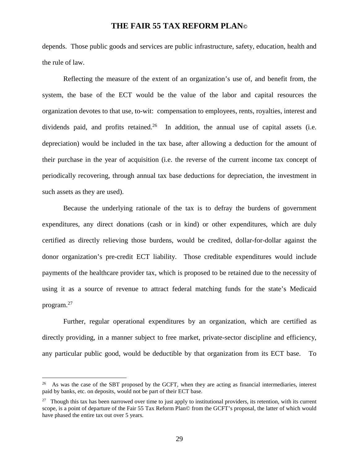depends. Those public goods and services are public infrastructure, safety, education, health and the rule of law.

Reflecting the measure of the extent of an organization's use of, and benefit from, the system, the base of the ECT would be the value of the labor and capital resources the organization devotes to that use, to-wit: compensation to employees, rents, royalties, interest and dividends paid, and profits retained.<sup>26</sup> In addition, the annual use of capital assets (i.e. depreciation) would be included in the tax base, after allowing a deduction for the amount of their purchase in the year of acquisition (i.e. the reverse of the current income tax concept of periodically recovering, through annual tax base deductions for depreciation, the investment in such assets as they are used).

Because the underlying rationale of the tax is to defray the burdens of government expenditures, any direct donations (cash or in kind) or other expenditures, which are duly certified as directly relieving those burdens, would be credited, dollar-for-dollar against the donor organization's pre-credit ECT liability. Those creditable expenditures would include payments of the healthcare provider tax, which is proposed to be retained due to the necessity of using it as a source of revenue to attract federal matching funds for the state's Medicaid program.<sup>27</sup>

Further, regular operational expenditures by an organization, which are certified as directly providing, in a manner subject to free market, private-sector discipline and efficiency, any particular public good, would be deductible by that organization from its ECT base. To

<sup>26</sup> As was the case of the SBT proposed by the GCFT, when they are acting as financial intermediaries, interest paid by banks, etc. on deposits, would not be part of their ECT base.

 $^{27}$  Though this tax has been narrowed over time to just apply to institutional providers, its retention, with its current scope, is a point of departure of the Fair 55 Tax Reform Plan© from the GCFT's proposal, the latter of which would have phased the entire tax out over 5 years.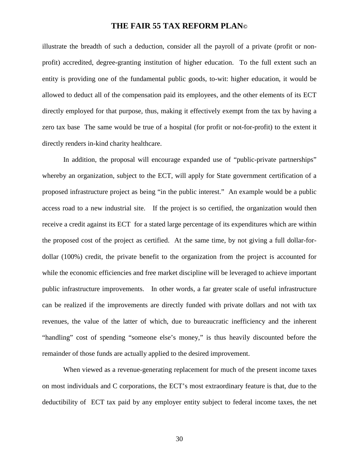illustrate the breadth of such a deduction, consider all the payroll of a private (profit or nonprofit) accredited, degree-granting institution of higher education. To the full extent such an entity is providing one of the fundamental public goods, to-wit: higher education, it would be allowed to deduct all of the compensation paid its employees, and the other elements of its ECT directly employed for that purpose, thus, making it effectively exempt from the tax by having a zero tax base The same would be true of a hospital (for profit or not-for-profit) to the extent it directly renders in-kind charity healthcare.

In addition, the proposal will encourage expanded use of "public-private partnerships" whereby an organization, subject to the ECT, will apply for State government certification of a proposed infrastructure project as being "in the public interest." An example would be a public access road to a new industrial site. If the project is so certified, the organization would then receive a credit against its ECT for a stated large percentage of its expenditures which are within the proposed cost of the project as certified. At the same time, by not giving a full dollar-fordollar (100%) credit, the private benefit to the organization from the project is accounted for while the economic efficiencies and free market discipline will be leveraged to achieve important public infrastructure improvements. In other words, a far greater scale of useful infrastructure can be realized if the improvements are directly funded with private dollars and not with tax revenues, the value of the latter of which, due to bureaucratic inefficiency and the inherent "handling" cost of spending "someone else's money," is thus heavily discounted before the remainder of those funds are actually applied to the desired improvement.

When viewed as a revenue-generating replacement for much of the present income taxes on most individuals and C corporations, the ECT's most extraordinary feature is that, due to the deductibility of ECT tax paid by any employer entity subject to federal income taxes, the net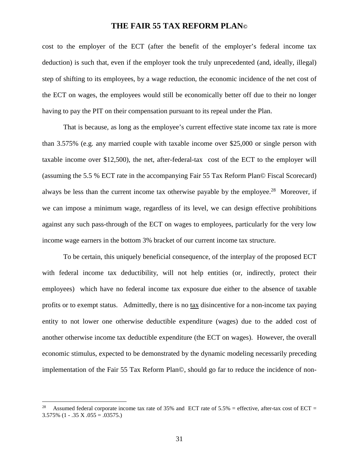cost to the employer of the ECT (after the benefit of the employer's federal income tax deduction) is such that, even if the employer took the truly unprecedented (and, ideally, illegal) step of shifting to its employees, by a wage reduction, the economic incidence of the net cost of the ECT on wages, the employees would still be economically better off due to their no longer having to pay the PIT on their compensation pursuant to its repeal under the Plan.

That is because, as long as the employee's current effective state income tax rate is more than 3.575% (e.g. any married couple with taxable income over \$25,000 or single person with taxable income over \$12,500), the net, after-federal-tax cost of the ECT to the employer will (assuming the 5.5 % ECT rate in the accompanying Fair 55 Tax Reform Plan© Fiscal Scorecard) always be less than the current income tax otherwise payable by the employee.<sup>28</sup> Moreover, if we can impose a minimum wage, regardless of its level, we can design effective prohibitions against any such pass-through of the ECT on wages to employees, particularly for the very low income wage earners in the bottom 3% bracket of our current income tax structure.

To be certain, this uniquely beneficial consequence, of the interplay of the proposed ECT with federal income tax deductibility, will not help entities (or, indirectly, protect their employees) which have no federal income tax exposure due either to the absence of taxable profits or to exempt status. Admittedly, there is no tax disincentive for a non-income tax paying entity to not lower one otherwise deductible expenditure (wages) due to the added cost of another otherwise income tax deductible expenditure (the ECT on wages). However, the overall economic stimulus, expected to be demonstrated by the dynamic modeling necessarily preceding implementation of the Fair 55 Tax Reform Plan©, should go far to reduce the incidence of non-

Assumed federal corporate income tax rate of 35% and ECT rate of  $5.5\%$  = effective, after-tax cost of ECT =  $3.575\%$  (1 - .35 X .055 = .03575.)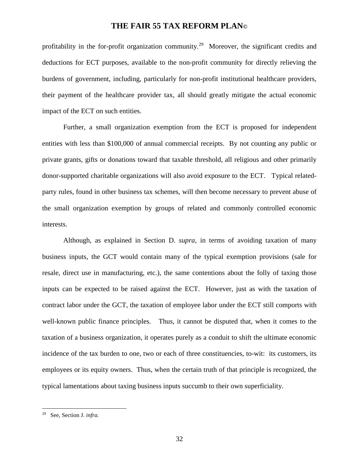profitability in the for-profit organization community.<sup>29</sup> Moreover, the significant credits and deductions for ECT purposes, available to the non-profit community for directly relieving the burdens of government, including, particularly for non-profit institutional healthcare providers, their payment of the healthcare provider tax, all should greatly mitigate the actual economic impact of the ECT on such entities.

Further, a small organization exemption from the ECT is proposed for independent entities with less than \$100,000 of annual commercial receipts. By not counting any public or private grants, gifts or donations toward that taxable threshold, all religious and other primarily donor-supported charitable organizations will also avoid exposure to the ECT. Typical relatedparty rules, found in other business tax schemes, will then become necessary to prevent abuse of the small organization exemption by groups of related and commonly controlled economic interests.

Although, as explained in Section D. *supra*, in terms of avoiding taxation of many business inputs, the GCT would contain many of the typical exemption provisions (sale for resale, direct use in manufacturing, etc.), the same contentions about the folly of taxing those inputs can be expected to be raised against the ECT. However, just as with the taxation of contract labor under the GCT, the taxation of employee labor under the ECT still comports with well-known public finance principles. Thus, it cannot be disputed that, when it comes to the taxation of a business organization, it operates purely as a conduit to shift the ultimate economic incidence of the tax burden to one, two or each of three constituencies, to-wit: its customers, its employees or its equity owners. Thus, when the certain truth of that principle is recognized, the typical lamentations about taxing business inputs succumb to their own superficiality.

<sup>29</sup> See, Section J. *infra.*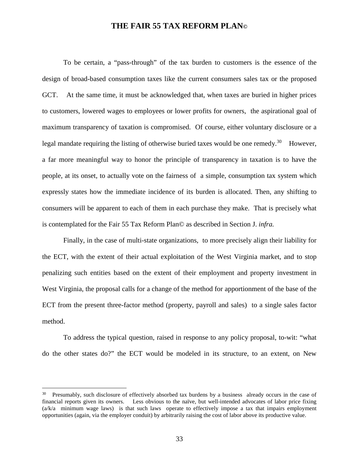To be certain, a "pass-through" of the tax burden to customers is the essence of the design of broad-based consumption taxes like the current consumers sales tax or the proposed GCT. At the same time, it must be acknowledged that, when taxes are buried in higher prices to customers, lowered wages to employees or lower profits for owners, the aspirational goal of maximum transparency of taxation is compromised. Of course, either voluntary disclosure or a legal mandate requiring the listing of otherwise buried taxes would be one remedy.<sup>30</sup> However, a far more meaningful way to honor the principle of transparency in taxation is to have the people, at its onset, to actually vote on the fairness of a simple, consumption tax system which expressly states how the immediate incidence of its burden is allocated. Then, any shifting to consumers will be apparent to each of them in each purchase they make. That is precisely what is contemplated for the Fair 55 Tax Reform Plan© as described in Section J. *infra.*

Finally, in the case of multi-state organizations, to more precisely align their liability for the ECT, with the extent of their actual exploitation of the West Virginia market, and to stop penalizing such entities based on the extent of their employment and property investment in West Virginia, the proposal calls for a change of the method for apportionment of the base of the ECT from the present three-factor method (property, payroll and sales) to a single sales factor method.

To address the typical question, raised in response to any policy proposal, to-wit: "what do the other states do?" the ECT would be modeled in its structure, to an extent, on New

<sup>30</sup> Presumably, such disclosure of effectively absorbed tax burdens by a business already occurs in the case of financial reports given its owners. Less obvious to the naïve, but well-intended advocates of labor price fixing  $(a/k/a)$  minimum wage laws) is that such laws operate to effectively impose a tax that impairs employment opportunities (again, via the employer conduit) by arbitrarily raising the cost of labor above its productive value.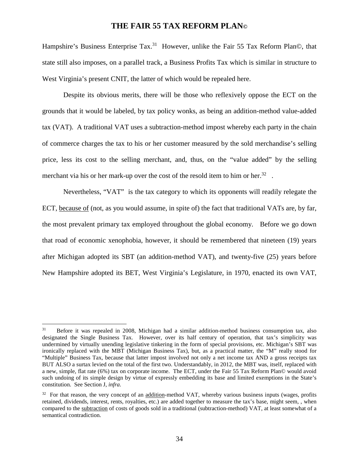Hampshire's Business Enterprise Tax.<sup>31</sup> However, unlike the Fair 55 Tax Reform Plan©, that state still also imposes, on a parallel track, a Business Profits Tax which is similar in structure to West Virginia's present CNIT, the latter of which would be repealed here.

Despite its obvious merits, there will be those who reflexively oppose the ECT on the grounds that it would be labeled, by tax policy wonks, as being an addition-method value-added tax (VAT). A traditional VAT uses a subtraction-method impost whereby each party in the chain of commerce charges the tax to his or her customer measured by the sold merchandise's selling price, less its cost to the selling merchant, and, thus, on the "value added" by the selling merchant via his or her mark-up over the cost of the resold item to him or her.<sup>32</sup>.

Nevertheless, "VAT" is the tax category to which its opponents will readily relegate the ECT, because of (not, as you would assume, in spite of) the fact that traditional VATs are, by far, the most prevalent primary tax employed throughout the global economy. Before we go down that road of economic xenophobia, however, it should be remembered that nineteen (19) years after Michigan adopted its SBT (an addition-method VAT), and twenty-five (25) years before New Hampshire adopted its BET, West Virginia's Legislature, in 1970, enacted its own VAT,

<sup>&</sup>lt;sup>31</sup> Before it was repealed in 2008, Michigan had a similar addition-method business consumption tax, also designated the Single Business Tax. However, over its half century of operation, that tax's simplicity was undermined by virtually unending legislative tinkering in the form of special provisions, etc. Michigan's SBT was ironically replaced with the MBT (Michigan Business Tax), but, as a practical matter, the "M" really stood for "Multiple" Business Tax, because that latter impost involved not only a net income tax AND a gross receipts tax BUT ALSO a surtax levied on the total of the first two. Understandably, in 2012, the MBT was, itself, replaced with a new, simple, flat rate (6%) tax on corporate income. The ECT, under the Fair 55 Tax Reform Plan© would avoid such undoing of its simple design by virtue of expressly embedding its base and limited exemptions in the State's constitution. See Section J, *infra.*

<sup>&</sup>lt;sup>32</sup> For that reason, the very concept of an addition-method VAT, whereby various business inputs (wages, profits retained, dividends, interest, rents, royalties, etc.) are added together to measure the tax's base, might seem, , when compared to the subtraction of costs of goods sold in a traditional (subtraction-method) VAT, at least somewhat of a semantical contradiction.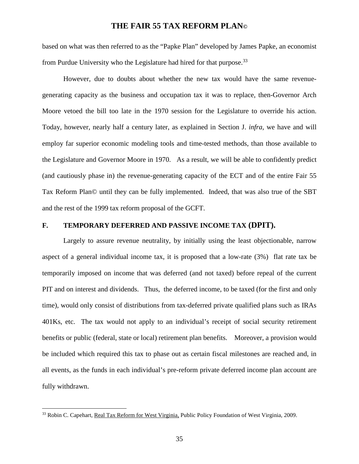based on what was then referred to as the "Papke Plan" developed by James Papke, an economist from Purdue University who the Legislature had hired for that purpose.  $33$ 

However, due to doubts about whether the new tax would have the same revenuegenerating capacity as the business and occupation tax it was to replace, then-Governor Arch Moore vetoed the bill too late in the 1970 session for the Legislature to override his action. Today, however, nearly half a century later, as explained in Section J. *infra,* we have and will employ far superior economic modeling tools and time-tested methods, than those available to the Legislature and Governor Moore in 1970. As a result, we will be able to confidently predict (and cautiously phase in) the revenue-generating capacity of the ECT and of the entire Fair 55 Tax Reform Plan© until they can be fully implemented. Indeed, that was also true of the SBT and the rest of the 1999 tax reform proposal of the GCFT.

#### **F. TEMPORARY DEFERRED AND PASSIVE INCOME TAX (DPIT).**

Largely to assure revenue neutrality, by initially using the least objectionable, narrow aspect of a general individual income tax, it is proposed that a low-rate (3%) flat rate tax be temporarily imposed on income that was deferred (and not taxed) before repeal of the current PIT and on interest and dividends. Thus, the deferred income, to be taxed (for the first and only time), would only consist of distributions from tax-deferred private qualified plans such as IRAs 401Ks, etc. The tax would not apply to an individual's receipt of social security retirement benefits or public (federal, state or local) retirement plan benefits. Moreover, a provision would be included which required this tax to phase out as certain fiscal milestones are reached and, in all events, as the funds in each individual's pre-reform private deferred income plan account are fully withdrawn.

<sup>33</sup> Robin C. Capehart, Real Tax Reform for West Virginia, Public Policy Foundation of West Virginia, 2009.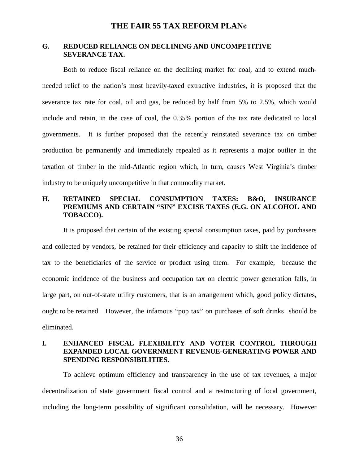#### **G. REDUCED RELIANCE ON DECLINING AND UNCOMPETITIVE SEVERANCE TAX.**

Both to reduce fiscal reliance on the declining market for coal, and to extend muchneeded relief to the nation's most heavily-taxed extractive industries, it is proposed that the severance tax rate for coal, oil and gas, be reduced by half from 5% to 2.5%, which would include and retain, in the case of coal, the 0.35% portion of the tax rate dedicated to local governments. It is further proposed that the recently reinstated severance tax on timber production be permanently and immediately repealed as it represents a major outlier in the taxation of timber in the mid-Atlantic region which, in turn, causes West Virginia's timber industry to be uniquely uncompetitive in that commodity market.

#### **H. RETAINED SPECIAL CONSUMPTION TAXES: B&O, INSURANCE PREMIUMS AND CERTAIN "SIN" EXCISE TAXES (E.G. ON ALCOHOL AND TOBACCO).**

It is proposed that certain of the existing special consumption taxes, paid by purchasers and collected by vendors, be retained for their efficiency and capacity to shift the incidence of tax to the beneficiaries of the service or product using them. For example, because the economic incidence of the business and occupation tax on electric power generation falls, in large part, on out-of-state utility customers, that is an arrangement which, good policy dictates, ought to be retained. However, the infamous "pop tax" on purchases of soft drinks should be eliminated.

### **I. ENHANCED FISCAL FLEXIBILITY AND VOTER CONTROL THROUGH EXPANDED LOCAL GOVERNMENT REVENUE-GENERATING POWER AND SPENDING RESPONSIBILITIES.**

To achieve optimum efficiency and transparency in the use of tax revenues, a major decentralization of state government fiscal control and a restructuring of local government, including the long-term possibility of significant consolidation, will be necessary. However

36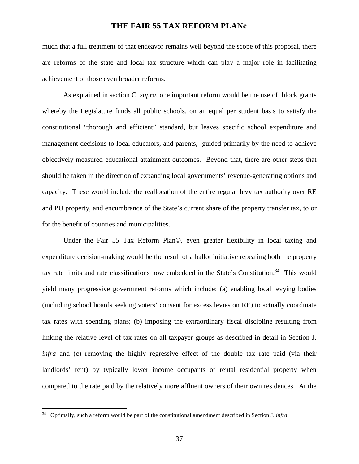much that a full treatment of that endeavor remains well beyond the scope of this proposal, there are reforms of the state and local tax structure which can play a major role in facilitating achievement of those even broader reforms.

As explained in section C. *supra*, one important reform would be the use of block grants whereby the Legislature funds all public schools, on an equal per student basis to satisfy the constitutional "thorough and efficient" standard, but leaves specific school expenditure and management decisions to local educators, and parents, guided primarily by the need to achieve objectively measured educational attainment outcomes. Beyond that, there are other steps that should be taken in the direction of expanding local governments' revenue-generating options and capacity. These would include the reallocation of the entire regular levy tax authority over RE and PU property, and encumbrance of the State's current share of the property transfer tax, to or for the benefit of counties and municipalities.

Under the Fair 55 Tax Reform Plan©, even greater flexibility in local taxing and expenditure decision-making would be the result of a ballot initiative repealing both the property tax rate limits and rate classifications now embedded in the State's Constitution.<sup>34</sup> This would yield many progressive government reforms which include: (a) enabling local levying bodies (including school boards seeking voters' consent for excess levies on RE) to actually coordinate tax rates with spending plans; (b) imposing the extraordinary fiscal discipline resulting from linking the relative level of tax rates on all taxpayer groups as described in detail in Section J. *infra* and (c) removing the highly regressive effect of the double tax rate paid (via their landlords' rent) by typically lower income occupants of rental residential property when compared to the rate paid by the relatively more affluent owners of their own residences. At the

<sup>34</sup> Optimally, such a reform would be part of the constitutional amendment described in Section J. *infra.*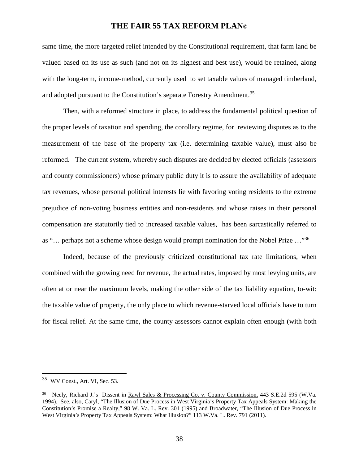same time, the more targeted relief intended by the Constitutional requirement, that farm land be valued based on its use as such (and not on its highest and best use), would be retained, along with the long-term, income-method, currently used to set taxable values of managed timberland, and adopted pursuant to the Constitution's separate Forestry Amendment.<sup>35</sup>

Then, with a reformed structure in place, to address the fundamental political question of the proper levels of taxation and spending, the corollary regime, for reviewing disputes as to the measurement of the base of the property tax (i.e. determining taxable value), must also be reformed. The current system, whereby such disputes are decided by elected officials (assessors and county commissioners) whose primary public duty it is to assure the availability of adequate tax revenues, whose personal political interests lie with favoring voting residents to the extreme prejudice of non-voting business entities and non-residents and whose raises in their personal compensation are statutorily tied to increased taxable values, has been sarcastically referred to as "… perhaps not a scheme whose design would prompt nomination for the Nobel Prize …"<sup>36</sup>

Indeed, because of the previously criticized constitutional tax rate limitations, when combined with the growing need for revenue, the actual rates, imposed by most levying units, are often at or near the maximum levels, making the other side of the tax liability equation, to-wit: the taxable value of property, the only place to which revenue-starved local officials have to turn for fiscal relief. At the same time, the county assessors cannot explain often enough (with both

<sup>35</sup> WV Const., Art. VI, Sec. 53.

<sup>36</sup> Neely, Richard J.'s Dissent in Rawl Sales & Processing Co. v. County Commission, 443 S.E.2d 595 (W.Va. 1994). See, also, Caryl, "The Illusion of Due Process in West Virginia's Property Tax Appeals System: Making the Constitution's Promise a Realty," 98 W. Va. L. Rev. 301 (1995) and Broadwater, "The Illusion of Due Process in West Virginia's Property Tax Appeals System: What Illusion?" 113 W.Va. L. Rev. 791 (2011).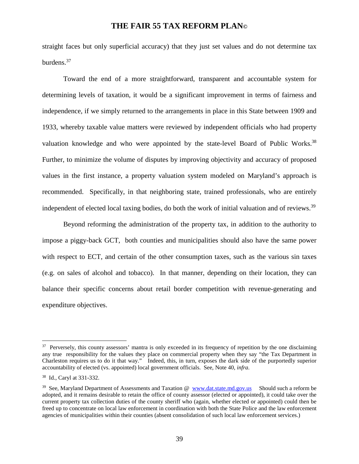straight faces but only superficial accuracy) that they just set values and do not determine tax burdens.<sup>37</sup>

Toward the end of a more straightforward, transparent and accountable system for determining levels of taxation, it would be a significant improvement in terms of fairness and independence, if we simply returned to the arrangements in place in this State between 1909 and 1933, whereby taxable value matters were reviewed by independent officials who had property valuation knowledge and who were appointed by the state-level Board of Public Works.<sup>38</sup> Further, to minimize the volume of disputes by improving objectivity and accuracy of proposed values in the first instance, a property valuation system modeled on Maryland's approach is recommended. Specifically, in that neighboring state, trained professionals, who are entirely independent of elected local taxing bodies, do both the work of initial valuation and of reviews.<sup>39</sup>

Beyond reforming the administration of the property tax, in addition to the authority to impose a piggy-back GCT, both counties and municipalities should also have the same power with respect to ECT, and certain of the other consumption taxes, such as the various sin taxes (e.g. on sales of alcohol and tobacco). In that manner, depending on their location, they can balance their specific concerns about retail border competition with revenue-generating and expenditure objectives.

<sup>&</sup>lt;sup>37</sup> Perversely, this county assessors' mantra is only exceeded in its frequency of repetition by the one disclaiming any true responsibility for the values they place on commercial property when they say "the Tax Department in Charleston requires us to do it that way." Indeed, this, in turn, exposes the dark side of the purportedly superior accountability of elected (vs. appointed) local government officials. See, Note 40, *infra.*

<sup>38</sup> Id., Caryl at 331-332.

<sup>&</sup>lt;sup>39</sup> See, Maryland Department of Assessments and Taxation @ www.dat.state.md.gov.us Should such a reform be adopted, and it remains desirable to retain the office of county assessor (elected or appointed), it could take over the current property tax collection duties of the county sheriff who (again, whether elected or appointed) could then be freed up to concentrate on local law enforcement in coordination with both the State Police and the law enforcement agencies of municipalities within their counties (absent consolidation of such local law enforcement services.)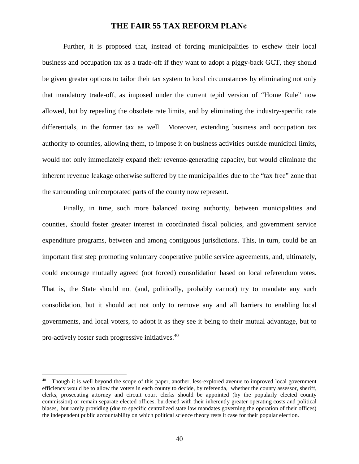Further, it is proposed that, instead of forcing municipalities to eschew their local business and occupation tax as a trade-off if they want to adopt a piggy-back GCT, they should be given greater options to tailor their tax system to local circumstances by eliminating not only that mandatory trade-off, as imposed under the current tepid version of "Home Rule" now allowed, but by repealing the obsolete rate limits, and by eliminating the industry-specific rate differentials, in the former tax as well. Moreover, extending business and occupation tax authority to counties, allowing them, to impose it on business activities outside municipal limits, would not only immediately expand their revenue-generating capacity, but would eliminate the inherent revenue leakage otherwise suffered by the municipalities due to the "tax free" zone that the surrounding unincorporated parts of the county now represent.

Finally, in time, such more balanced taxing authority, between municipalities and counties, should foster greater interest in coordinated fiscal policies, and government service expenditure programs, between and among contiguous jurisdictions. This, in turn, could be an important first step promoting voluntary cooperative public service agreements, and, ultimately, could encourage mutually agreed (not forced) consolidation based on local referendum votes. That is, the State should not (and, politically, probably cannot) try to mandate any such consolidation, but it should act not only to remove any and all barriers to enabling local governments, and local voters, to adopt it as they see it being to their mutual advantage, but to pro-actively foster such progressive initiatives.<sup>40</sup>

<sup>&</sup>lt;sup>40</sup> Though it is well beyond the scope of this paper, another, less-explored avenue to improved local government efficiency would be to allow the voters in each county to decide, by referenda, whether the county assessor, sheriff, clerks, prosecuting attorney and circuit court clerks should be appointed (by the popularly elected county commission) or remain separate elected offices, burdened with their inherently greater operating costs and political biases, but rarely providing (due to specific centralized state law mandates governing the operation of their offices) the independent public accountability on which political science theory rests it case for their popular election.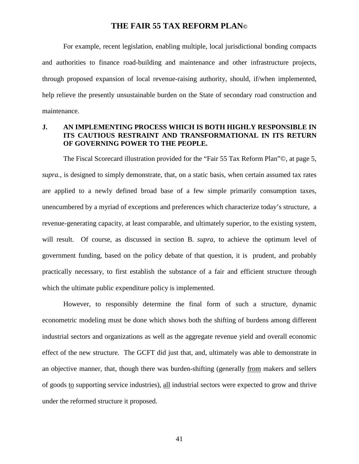For example, recent legislation, enabling multiple, local jurisdictional bonding compacts and authorities to finance road-building and maintenance and other infrastructure projects, through proposed expansion of local revenue-raising authority, should, if/when implemented, help relieve the presently unsustainable burden on the State of secondary road construction and maintenance.

### **J. AN IMPLEMENTING PROCESS WHICH IS BOTH HIGHLY RESPONSIBLE IN ITS CAUTIOUS RESTRAINT AND TRANSFORMATIONAL IN ITS RETURN OF GOVERNING POWER TO THE PEOPLE.**

The Fiscal Scorecard illustration provided for the "Fair 55 Tax Reform Plan"©, at page 5, *supra.*, is designed to simply demonstrate, that, on a static basis, when certain assumed tax rates are applied to a newly defined broad base of a few simple primarily consumption taxes, unencumbered by a myriad of exceptions and preferences which characterize today's structure, a revenue-generating capacity, at least comparable, and ultimately superior, to the existing system, will result. Of course, as discussed in section B. *supra*, to achieve the optimum level of government funding, based on the policy debate of that question, it is prudent, and probably practically necessary, to first establish the substance of a fair and efficient structure through which the ultimate public expenditure policy is implemented.

However, to responsibly determine the final form of such a structure, dynamic econometric modeling must be done which shows both the shifting of burdens among different industrial sectors and organizations as well as the aggregate revenue yield and overall economic effect of the new structure. The GCFT did just that, and, ultimately was able to demonstrate in an objective manner, that, though there was burden-shifting (generally from makers and sellers of goods to supporting service industries), all industrial sectors were expected to grow and thrive under the reformed structure it proposed.

41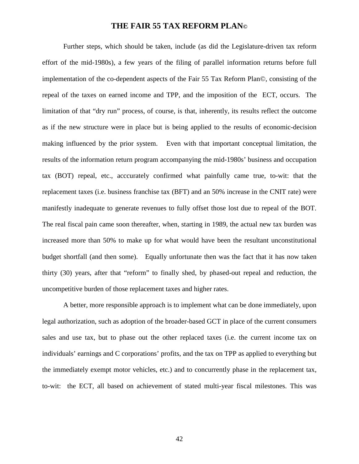Further steps, which should be taken, include (as did the Legislature-driven tax reform effort of the mid-1980s), a few years of the filing of parallel information returns before full implementation of the co-dependent aspects of the Fair 55 Tax Reform Plan©, consisting of the repeal of the taxes on earned income and TPP, and the imposition of the ECT, occurs. The limitation of that "dry run" process, of course, is that, inherently, its results reflect the outcome as if the new structure were in place but is being applied to the results of economic-decision making influenced by the prior system. Even with that important conceptual limitation, the results of the information return program accompanying the mid-1980s' business and occupation tax (BOT) repeal, etc., acccurately confirmed what painfully came true, to-wit: that the replacement taxes (i.e. business franchise tax (BFT) and an 50% increase in the CNIT rate) were manifestly inadequate to generate revenues to fully offset those lost due to repeal of the BOT. The real fiscal pain came soon thereafter, when, starting in 1989, the actual new tax burden was increased more than 50% to make up for what would have been the resultant unconstitutional budget shortfall (and then some). Equally unfortunate then was the fact that it has now taken thirty (30) years, after that "reform" to finally shed, by phased-out repeal and reduction, the uncompetitive burden of those replacement taxes and higher rates.

A better, more responsible approach is to implement what can be done immediately, upon legal authorization, such as adoption of the broader-based GCT in place of the current consumers sales and use tax, but to phase out the other replaced taxes (i.e. the current income tax on individuals' earnings and C corporations' profits, and the tax on TPP as applied to everything but the immediately exempt motor vehicles, etc.) and to concurrently phase in the replacement tax, to-wit: the ECT, all based on achievement of stated multi-year fiscal milestones. This was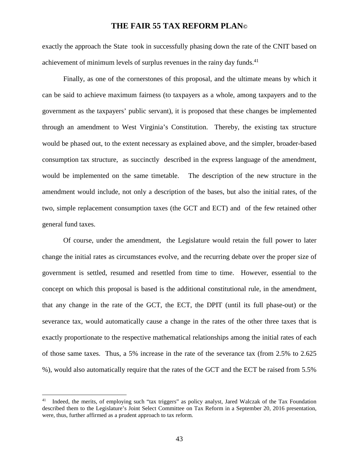exactly the approach the State took in successfully phasing down the rate of the CNIT based on achievement of minimum levels of surplus revenues in the rainy day funds.<sup>41</sup>

Finally, as one of the cornerstones of this proposal, and the ultimate means by which it can be said to achieve maximum fairness (to taxpayers as a whole, among taxpayers and to the government as the taxpayers' public servant), it is proposed that these changes be implemented through an amendment to West Virginia's Constitution. Thereby, the existing tax structure would be phased out, to the extent necessary as explained above, and the simpler, broader-based consumption tax structure, as succinctly described in the express language of the amendment, would be implemented on the same timetable. The description of the new structure in the amendment would include, not only a description of the bases, but also the initial rates, of the two, simple replacement consumption taxes (the GCT and ECT) and of the few retained other general fund taxes.

Of course, under the amendment, the Legislature would retain the full power to later change the initial rates as circumstances evolve, and the recurring debate over the proper size of government is settled, resumed and resettled from time to time. However, essential to the concept on which this proposal is based is the additional constitutional rule, in the amendment, that any change in the rate of the GCT, the ECT, the DPIT (until its full phase-out) or the severance tax, would automatically cause a change in the rates of the other three taxes that is exactly proportionate to the respective mathematical relationships among the initial rates of each of those same taxes. Thus, a 5% increase in the rate of the severance tax (from 2.5% to 2.625 %), would also automatically require that the rates of the GCT and the ECT be raised from 5.5%

<sup>41</sup> Indeed, the merits, of employing such "tax triggers" as policy analyst, Jared Walczak of the Tax Foundation described them to the Legislature's Joint Select Committee on Tax Reform in a September 20, 2016 presentation, were, thus, further affirmed as a prudent approach to tax reform.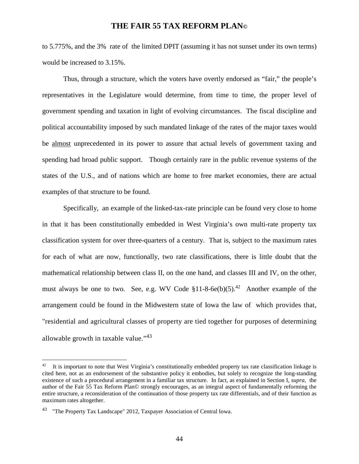to 5.775%, and the 3% rate of the limited DPIT (assuming it has not sunset under its own terms) would be increased to 3.15%.

Thus, through a structure, which the voters have overtly endorsed as "fair," the people's representatives in the Legislature would determine, from time to time, the proper level of government spending and taxation in light of evolving circumstances. The fiscal discipline and political accountability imposed by such mandated linkage of the rates of the major taxes would be almost unprecedented in its power to assure that actual levels of government taxing and spending had broad public support. Though certainly rare in the public revenue systems of the states of the U.S., and of nations which are home to free market economies, there are actual examples of that structure to be found.

Specifically, an example of the linked-tax-rate principle can be found very close to home in that it has been constitutionally embedded in West Virginia's own multi-rate property tax classification system for over three-quarters of a century. That is, subject to the maximum rates for each of what are now, functionally, two rate classifications, there is little doubt that the mathematical relationship between class II, on the one hand, and classes III and IV, on the other, must always be one to two. See, e.g. WV Code  $$11-8-6e(b)(5).42$  Another example of the arrangement could be found in the Midwestern state of Iowa the law of which provides that, "residential and agricultural classes of property are tied together for purposes of determining allowable growth in taxable value."<sup>43</sup>

 $42$  It is important to note that West Virginia's constitutionally embedded property tax rate classification linkage is cited here, not as an endorsement of the substantive policy it embodies, but solely to recognize the long-standing existence of such a procedural arrangement in a familiar tax structure. In fact, as explained in Section I, *supra,* the author of the Fair 55 Tax Reform Plan© strongly encourages, as an integral aspect of fundamentally reforming the entire structure, a reconsideration of the continuation of those property tax rate differentials, and of their function as maximum rates altogether.

<sup>&</sup>lt;sup>43</sup> "The Property Tax Landscape" 2012, Taxpayer Association of Central Iowa.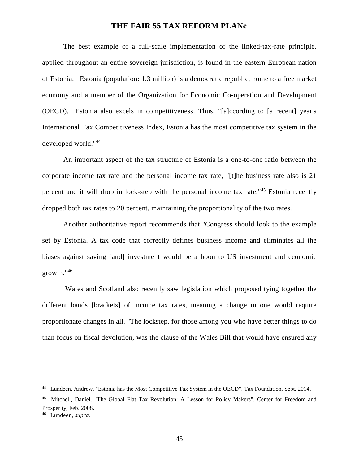The best example of a full-scale implementation of the linked-tax-rate principle, applied throughout an entire sovereign jurisdiction, is found in the eastern European nation of Estonia. Estonia (population: 1.3 million) is a democratic republic, home to a free market economy and a member of the Organization for Economic Co-operation and Development (OECD). Estonia also excels in competitiveness. Thus, "[a]ccording to [a recent] year's International Tax Competitiveness Index, Estonia has the most competitive tax system in the developed world."<sup>44</sup>

An important aspect of the tax structure of Estonia is a one-to-one ratio between the corporate income tax rate and the personal income tax rate, "[t]he business rate also is 21 percent and it will drop in lock-step with the personal income tax rate."<sup>45</sup> Estonia recently dropped both tax rates to 20 percent, maintaining the proportionality of the two rates.

Another authoritative report recommends that "Congress should look to the example set by Estonia. A tax code that correctly defines business income and eliminates all the biases against saving [and] investment would be a boon to US investment and economic growth."<sup>46</sup>

 Wales and Scotland also recently saw legislation which proposed tying together the different bands [brackets] of income tax rates, meaning a change in one would require proportionate changes in all. "The lockstep, for those among you who have better things to do than focus on fiscal devolution, was the clause of the Wales Bill that would have ensured any

<sup>44</sup> Lundeen, Andrew. "Estonia has the Most Competitive Tax System in the OECD". Tax Foundation, Sept. 2014.

<sup>45</sup> Mitchell, Daniel. "The Global Flat Tax Revolution: A Lesson for Policy Makers". Center for Freedom and Prosperity, Feb. 2008.

<sup>46</sup> Lundeen, *supra.*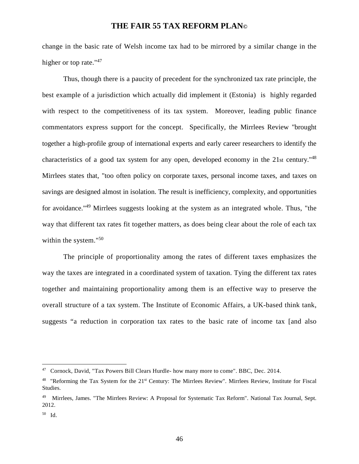change in the basic rate of Welsh income tax had to be mirrored by a similar change in the higher or top rate."<sup>47</sup>

Thus, though there is a paucity of precedent for the synchronized tax rate principle, the best example of a jurisdiction which actually did implement it (Estonia) is highly regarded with respect to the competitiveness of its tax system. Moreover, leading public finance commentators express support for the concept. Specifically, the Mirrlees Review "brought together a high-profile group of international experts and early career researchers to identify the characteristics of a good tax system for any open, developed economy in the 21st century.<sup>"48</sup> Mirrlees states that, "too often policy on corporate taxes, personal income taxes, and taxes on savings are designed almost in isolation. The result is inefficiency, complexity, and opportunities for avoidance."<sup>49</sup> Mirrlees suggests looking at the system as an integrated whole. Thus, "the way that different tax rates fit together matters, as does being clear about the role of each tax within the system."<sup>50</sup>

The principle of proportionality among the rates of different taxes emphasizes the way the taxes are integrated in a coordinated system of taxation. Tying the different tax rates together and maintaining proportionality among them is an effective way to preserve the overall structure of a tax system. The Institute of Economic Affairs, a UK-based think tank, suggests "a reduction in corporation tax rates to the basic rate of income tax [and also

<sup>47</sup> Cornock, David, "Tax Powers Bill Clears Hurdle- how many more to come". BBC, Dec. 2014.

<sup>&</sup>lt;sup>48</sup> "Reforming the Tax System for the  $21<sup>st</sup>$  Century: The Mirrlees Review". Mirrlees Review, Institute for Fiscal Studies.

<sup>49</sup> Mirrlees, James. "The Mirrlees Review: A Proposal for Systematic Tax Reform". National Tax Journal, Sept. 2012.

<sup>50</sup> Id.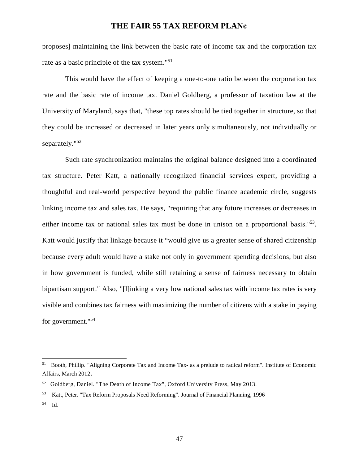proposes] maintaining the link between the basic rate of income tax and the corporation tax rate as a basic principle of the tax system."<sup>51</sup>

 This would have the effect of keeping a one-to-one ratio between the corporation tax rate and the basic rate of income tax. Daniel Goldberg, a professor of taxation law at the University of Maryland, says that, "these top rates should be tied together in structure, so that they could be increased or decreased in later years only simultaneously, not individually or separately."<sup>52</sup>

 Such rate synchronization maintains the original balance designed into a coordinated tax structure. Peter Katt, a nationally recognized financial services expert, providing a thoughtful and real-world perspective beyond the public finance academic circle, suggests linking income tax and sales tax. He says, "requiring that any future increases or decreases in either income tax or national sales tax must be done in unison on a proportional basis."<sup>53</sup>. Katt would justify that linkage because it "would give us a greater sense of shared citizenship because every adult would have a stake not only in government spending decisions, but also in how government is funded, while still retaining a sense of fairness necessary to obtain bipartisan support." Also, "[l]inking a very low national sales tax with income tax rates is very visible and combines tax fairness with maximizing the number of citizens with a stake in paying for government."<sup>54</sup>

<sup>51</sup> Booth, Phillip. "Aligning Corporate Tax and Income Tax- as a prelude to radical reform". Institute of Economic Affairs, March 2012.

<sup>52</sup> Goldberg, Daniel. "The Death of Income Tax", Oxford University Press, May 2013.

<sup>53</sup> Katt, Peter. "Tax Reform Proposals Need Reforming". Journal of Financial Planning, 1996

<sup>54</sup> Id.